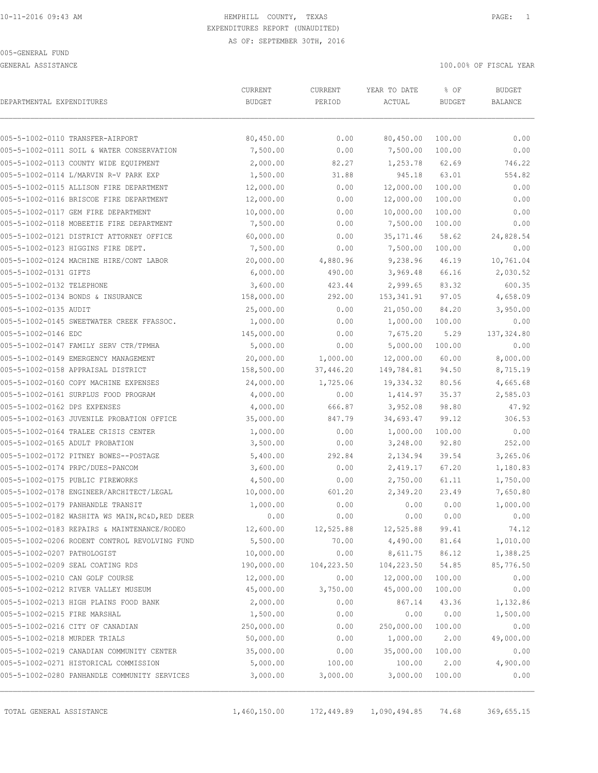GENERAL ASSISTANCE 100.00% OF FISCAL YEAR

| DEPARTMENTAL EXPENDITURES     | CURRENT                                         | CURRENT    | YEAR TO DATE | % OF          | <b>BUDGET</b> |            |
|-------------------------------|-------------------------------------------------|------------|--------------|---------------|---------------|------------|
|                               | <b>BUDGET</b>                                   | PERIOD     | ACTUAL       | <b>BUDGET</b> | BALANCE       |            |
|                               | 005-5-1002-0110 TRANSFER-AIRPORT                | 80,450.00  | 0.00         | 80,450.00     | 100.00        | 0.00       |
|                               | 005-5-1002-0111 SOIL & WATER CONSERVATION       | 7,500.00   | 0.00         | 7,500.00      | 100.00        | 0.00       |
|                               | 005-5-1002-0113 COUNTY WIDE EQUIPMENT           | 2,000.00   | 82.27        | 1,253.78      | 62.69         | 746.22     |
|                               | 005-5-1002-0114 L/MARVIN R-V PARK EXP           | 1,500.00   | 31.88        | 945.18        | 63.01         | 554.82     |
|                               | 005-5-1002-0115 ALLISON FIRE DEPARTMENT         | 12,000.00  | 0.00         | 12,000.00     | 100.00        | 0.00       |
|                               | 005-5-1002-0116 BRISCOE FIRE DEPARTMENT         | 12,000.00  | 0.00         | 12,000.00     | 100.00        | 0.00       |
|                               | 005-5-1002-0117 GEM FIRE DEPARTMENT             | 10,000.00  | 0.00         | 10,000.00     | 100.00        | 0.00       |
|                               | 005-5-1002-0118 MOBEETIE FIRE DEPARTMENT        | 7,500.00   | 0.00         | 7,500.00      | 100.00        | 0.00       |
|                               | 005-5-1002-0121 DISTRICT ATTORNEY OFFICE        | 60,000.00  | 0.00         | 35, 171.46    | 58.62         | 24,828.54  |
|                               | 005-5-1002-0123 HIGGINS FIRE DEPT.              | 7,500.00   | 0.00         | 7,500.00      | 100.00        | 0.00       |
|                               | 005-5-1002-0124 MACHINE HIRE/CONT LABOR         | 20,000.00  | 4,880.96     | 9,238.96      | 46.19         | 10,761.04  |
| 005-5-1002-0131 GIFTS         |                                                 | 6,000.00   | 490.00       | 3,969.48      | 66.16         | 2,030.52   |
| 005-5-1002-0132 TELEPHONE     |                                                 | 3,600.00   | 423.44       | 2,999.65      | 83.32         | 600.35     |
|                               | 005-5-1002-0134 BONDS & INSURANCE               | 158,000.00 | 292.00       | 153,341.91    | 97.05         | 4,658.09   |
| 005-5-1002-0135 AUDIT         |                                                 | 25,000.00  | 0.00         | 21,050.00     | 84.20         | 3,950.00   |
|                               | 005-5-1002-0145 SWEETWATER CREEK FFASSOC.       | 1,000.00   | 0.00         | 1,000.00      | 100.00        | 0.00       |
| 005-5-1002-0146 EDC           |                                                 | 145,000.00 | 0.00         | 7,675.20      | 5.29          | 137,324.80 |
|                               | 005-5-1002-0147 FAMILY SERV CTR/TPMHA           | 5,000.00   | 0.00         | 5,000.00      | 100.00        | 0.00       |
|                               | 005-5-1002-0149 EMERGENCY MANAGEMENT            | 20,000.00  | 1,000.00     | 12,000.00     | 60.00         | 8,000.00   |
|                               | 005-5-1002-0158 APPRAISAL DISTRICT              | 158,500.00 | 37,446.20    | 149,784.81    | 94.50         | 8,715.19   |
|                               | 005-5-1002-0160 COPY MACHINE EXPENSES           | 24,000.00  | 1,725.06     | 19,334.32     | 80.56         | 4,665.68   |
|                               | 005-5-1002-0161 SURPLUS FOOD PROGRAM            | 4,000.00   | 0.00         | 1,414.97      | 35.37         | 2,585.03   |
| 005-5-1002-0162 DPS EXPENSES  |                                                 | 4,000.00   | 666.87       | 3,952.08      | 98.80         | 47.92      |
|                               | 005-5-1002-0163 JUVENILE PROBATION OFFICE       | 35,000.00  | 847.79       | 34,693.47     | 99.12         | 306.53     |
|                               | 005-5-1002-0164 TRALEE CRISIS CENTER            | 1,000.00   | 0.00         | 1,000.00      | 100.00        | 0.00       |
|                               | 005-5-1002-0165 ADULT PROBATION                 | 3,500.00   | 0.00         | 3,248.00      | 92.80         | 252.00     |
|                               | 005-5-1002-0172 PITNEY BOWES--POSTAGE           | 5,400.00   | 292.84       | 2,134.94      | 39.54         | 3,265.06   |
|                               | 005-5-1002-0174 PRPC/DUES-PANCOM                | 3,600.00   | 0.00         | 2,419.17      | 67.20         | 1,180.83   |
|                               | 005-5-1002-0175 PUBLIC FIREWORKS                | 4,500.00   | 0.00         | 2,750.00      | 61.11         | 1,750.00   |
|                               | 005-5-1002-0178 ENGINEER/ARCHITECT/LEGAL        | 10,000.00  | 601.20       | 2,349.20      | 23.49         | 7,650.80   |
|                               | 005-5-1002-0179 PANHANDLE TRANSIT               | 1,000.00   | 0.00         | 0.00          | 0.00          | 1,000.00   |
|                               | 005-5-1002-0182 WASHITA WS MAIN, RC&D, RED DEER | 0.00       | 0.00         | 0.00          | 0.00          | 0.00       |
|                               | 005-5-1002-0183 REPAIRS & MAINTENANCE/RODEO     | 12,600.00  | 12,525.88    | 12,525.88     | 99.41         | 74.12      |
|                               | 005-5-1002-0206 RODENT CONTROL REVOLVING FUND   | 5,500.00   | 70.00        | 4,490.00      | 81.64         | 1,010.00   |
| 005-5-1002-0207 PATHOLOGIST   |                                                 | 10,000.00  | 0.00         | 8,611.75      | 86.12         | 1,388.25   |
|                               | 005-5-1002-0209 SEAL COATING RDS                | 190,000.00 | 104,223.50   | 104,223.50    | 54.85         | 85,776.50  |
|                               | 005-5-1002-0210 CAN GOLF COURSE                 | 12,000.00  | 0.00         | 12,000.00     | 100.00        | 0.00       |
|                               | 005-5-1002-0212 RIVER VALLEY MUSEUM             | 45,000.00  | 3,750.00     | 45,000.00     | 100.00        | 0.00       |
|                               | 005-5-1002-0213 HIGH PLAINS FOOD BANK           | 2,000.00   | 0.00         | 867.14        | 43.36         | 1,132.86   |
| 005-5-1002-0215 FIRE MARSHAL  |                                                 | 1,500.00   | 0.00         | 0.00          | 0.00          | 1,500.00   |
|                               | 005-5-1002-0216 CITY OF CANADIAN                | 250,000.00 | 0.00         | 250,000.00    | 100.00        | 0.00       |
| 005-5-1002-0218 MURDER TRIALS |                                                 | 50,000.00  | 0.00         | 1,000.00      | 2.00          | 49,000.00  |
|                               | 005-5-1002-0219 CANADIAN COMMUNITY CENTER       | 35,000.00  | 0.00         | 35,000.00     | 100.00        | 0.00       |
|                               | 005-5-1002-0271 HISTORICAL COMMISSION           | 5,000.00   | 100.00       | 100.00        | 2.00          | 4,900.00   |
|                               | 005-5-1002-0280 PANHANDLE COMMUNITY SERVICES    | 3,000.00   | 3,000.00     | 3,000.00      | 100.00        | 0.00       |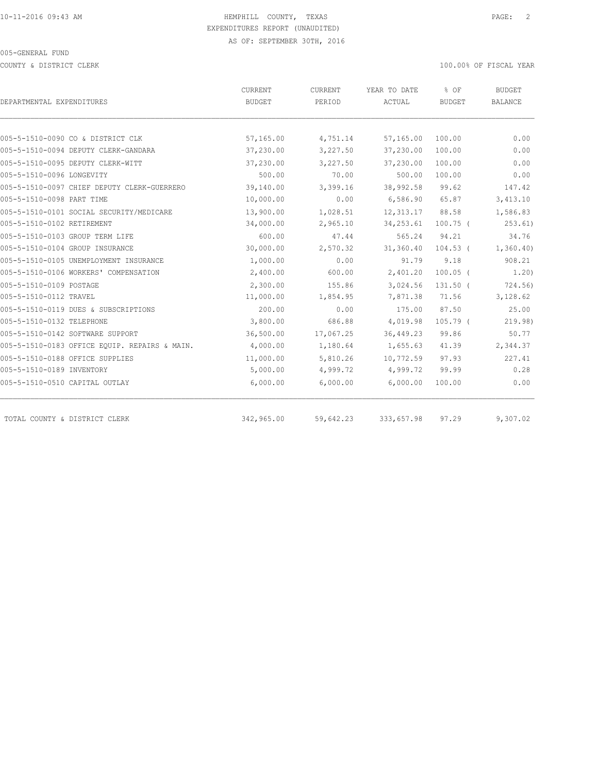COUNTY & DISTRICT CLERK 100.00% OF FISCAL YEAR

| DEPARTMENTAL EXPENDITURES                     | CURRENT<br>BUDGET | CURRENT<br>PERIOD | YEAR TO DATE<br>ACTUAL | % OF<br><b>BUDGET</b> | <b>BUDGET</b><br><b>BALANCE</b> |
|-----------------------------------------------|-------------------|-------------------|------------------------|-----------------------|---------------------------------|
|                                               |                   |                   |                        |                       |                                 |
| 005-5-1510-0090 CO & DISTRICT CLK             | 57,165.00         | 4,751.14          | 57,165.00              | 100.00                | 0.00                            |
| 005-5-1510-0094 DEPUTY CLERK-GANDARA          | 37,230.00         | 3,227.50          | 37,230.00              | 100.00                | 0.00                            |
| 005-5-1510-0095 DEPUTY CLERK-WITT             | 37,230.00         | 3,227.50          | 37,230.00              | 100.00                | 0.00                            |
| 005-5-1510-0096 LONGEVITY                     | 500.00            | 70.00             | 500.00                 | 100.00                | 0.00                            |
| 005-5-1510-0097 CHIEF DEPUTY CLERK-GUERRERO   | 39,140.00         | 3,399.16          | 38,992.58              | 99.62                 | 147.42                          |
| 005-5-1510-0098 PART TIME                     | 10,000.00         | 0.00              | 6,586.90               | 65.87                 | 3,413.10                        |
| 005-5-1510-0101 SOCIAL SECURITY/MEDICARE      | 13,900.00         | 1,028.51          | 12, 313.17             | 88.58                 | 1,586.83                        |
| 005-5-1510-0102 RETIREMENT                    | 34,000.00         | 2,965.10          | 34, 253.61             | $100.75$ (            | 253.61)                         |
| 005-5-1510-0103 GROUP TERM LIFE               | 600.00            | 47.44             | 565.24                 | 94.21                 | 34.76                           |
| 005-5-1510-0104 GROUP INSURANCE               | 30,000.00         | 2,570.32          | 31,360.40              | $104.53$ (            | 1,360.40                        |
| 005-5-1510-0105 UNEMPLOYMENT INSURANCE        | 1,000.00          | 0.00              | 91.79                  | 9.18                  | 908.21                          |
| 005-5-1510-0106 WORKERS' COMPENSATION         | 2,400.00          | 600.00            | 2,401.20               | $100.05$ (            | 1,20)                           |
| 005-5-1510-0109 POSTAGE                       | 2,300.00          | 155.86            | 3,024.56               | $131.50$ (            | 724.56)                         |
| 005-5-1510-0112 TRAVEL                        | 11,000.00         | 1,854.95          | 7,871.38               | 71.56                 | 3,128.62                        |
| 005-5-1510-0119 DUES & SUBSCRIPTIONS          | 200.00            | 0.00              | 175.00                 | 87.50                 | 25.00                           |
| 005-5-1510-0132 TELEPHONE                     | 3,800.00          | 686.88            | 4,019.98               | 105.79 (              | 219.98)                         |
| 005-5-1510-0142 SOFTWARE SUPPORT              | 36,500.00         | 17,067.25         | 36, 449.23             | 99.86                 | 50.77                           |
| 005-5-1510-0183 OFFICE EQUIP. REPAIRS & MAIN. | 4,000.00          | 1,180.64          | 1,655.63               | 41.39                 | 2,344.37                        |
| 005-5-1510-0188 OFFICE SUPPLIES               | 11,000.00         | 5,810.26          | 10,772.59              | 97.93                 | 227.41                          |
| 005-5-1510-0189 INVENTORY                     | 5,000.00          | 4,999.72          | 4,999.72               | 99.99                 | 0.28                            |
| 005-5-1510-0510 CAPITAL OUTLAY                | 6,000.00          | 6,000.00          | 6,000.00               | 100.00                | 0.00                            |
| TOTAL COUNTY & DISTRICT CLERK                 | 342,965.00        | 59,642.23         | 333,657.98             | 97.29                 | 9,307.02                        |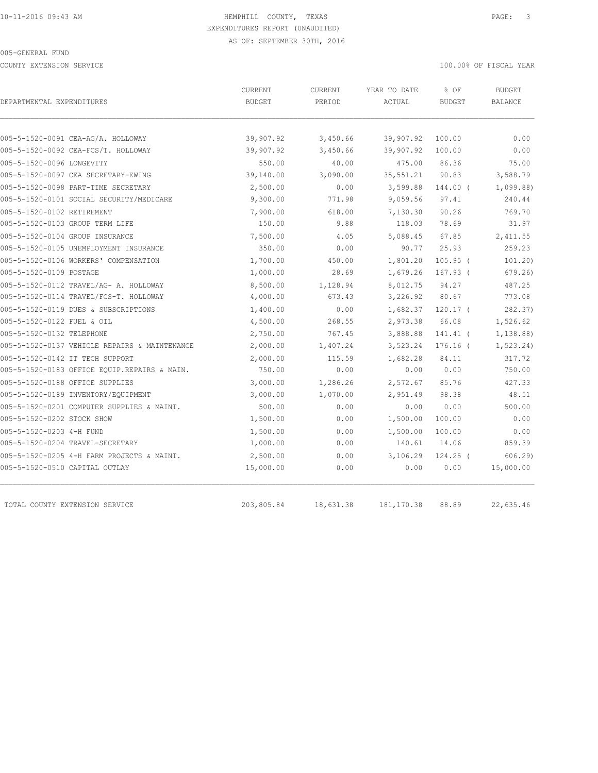COUNTY EXTENSION SERVICE 100.00% OF FISCAL YEAR

| DEPARTMENTAL EXPENDITURES                                                 | CURRENT<br><b>BUDGET</b> | CURRENT<br>PERIOD    | YEAR TO DATE<br>ACTUAL | % OF<br><b>BUDGET</b> | <b>BUDGET</b><br><b>BALANCE</b> |
|---------------------------------------------------------------------------|--------------------------|----------------------|------------------------|-----------------------|---------------------------------|
|                                                                           |                          |                      |                        |                       |                                 |
| 005-5-1520-0091 CEA-AG/A. HOLLOWAY<br>005-5-1520-0092 CEA-FCS/T. HOLLOWAY | 39,907.92<br>39,907.92   | 3,450.66<br>3,450.66 | 39,907.92<br>39,907.92 | 100.00<br>100.00      | 0.00<br>0.00                    |
| 005-5-1520-0096 LONGEVITY                                                 | 550.00                   | 40.00                | 475.00                 | 86.36                 | 75.00                           |
| 005-5-1520-0097 CEA SECRETARY-EWING                                       | 39,140.00                | 3,090.00             | 35,551.21              | 90.83                 | 3,588.79                        |
| 005-5-1520-0098 PART-TIME SECRETARY                                       | 2,500.00                 | 0.00                 | 3,599.88               | 144.00 (              | 1,099.88                        |
| 005-5-1520-0101 SOCIAL SECURITY/MEDICARE                                  | 9,300.00                 | 771.98               | 9,059.56               | 97.41                 | 240.44                          |
| 005-5-1520-0102 RETIREMENT                                                | 7,900.00                 | 618.00               | 7,130.30               | 90.26                 | 769.70                          |
| 005-5-1520-0103 GROUP TERM LIFE                                           | 150.00                   | 9.88                 | 118.03                 | 78.69                 | 31.97                           |
| 005-5-1520-0104 GROUP INSURANCE                                           | 7,500.00                 | 4.05                 | 5,088.45               | 67.85                 | 2,411.55                        |
| 005-5-1520-0105 UNEMPLOYMENT INSURANCE                                    | 350.00                   | 0.00                 | 90.77                  | 25.93                 | 259.23                          |
| 005-5-1520-0106 WORKERS' COMPENSATION                                     | 1,700.00                 | 450.00               | 1,801.20               | $105.95$ (            | 101.20                          |
| 005-5-1520-0109 POSTAGE                                                   | 1,000.00                 | 28.69                | 1,679.26               | $167.93$ (            | 679.26                          |
| 005-5-1520-0112 TRAVEL/AG- A. HOLLOWAY                                    | 8,500.00                 | 1,128.94             | 8,012.75               | 94.27                 | 487.25                          |
| 005-5-1520-0114 TRAVEL/FCS-T. HOLLOWAY                                    | 4,000.00                 | 673.43               | 3,226.92               | 80.67                 | 773.08                          |
| 005-5-1520-0119 DUES & SUBSCRIPTIONS                                      | 1,400.00                 | 0.00                 |                        | $1,682.37$ 120.17 (   | 282.37)                         |
| 005-5-1520-0122 FUEL & OIL                                                | 4,500.00                 | 268.55               | 2,973.38               | 66.08                 | 1,526.62                        |
| 005-5-1520-0132 TELEPHONE                                                 | 2,750.00                 | 767.45               | 3,888.88               | 141.41 (              | 1,138.88)                       |
| 005-5-1520-0137 VEHICLE REPAIRS & MAINTENANCE                             | 2,000.00                 | 1,407.24             | 3,523.24               | $176.16$ (            | 1, 523.24)                      |
| 005-5-1520-0142 IT TECH SUPPORT                                           | 2,000.00                 | 115.59               | 1,682.28               | 84.11                 | 317.72                          |
| 005-5-1520-0183 OFFICE EQUIP.REPAIRS & MAIN.                              | 750.00                   | 0.00                 | 0.00                   | 0.00                  | 750.00                          |
| 005-5-1520-0188 OFFICE SUPPLIES                                           | 3,000.00                 | 1,286.26             | 2,572.67               | 85.76                 | 427.33                          |
| 005-5-1520-0189 INVENTORY/EQUIPMENT                                       | 3,000.00                 | 1,070.00             | 2,951.49               | 98.38                 | 48.51                           |
| 005-5-1520-0201 COMPUTER SUPPLIES & MAINT.                                | 500.00                   | 0.00                 | 0.00                   | 0.00                  | 500.00                          |
| 005-5-1520-0202 STOCK SHOW                                                | 1,500.00                 | 0.00                 | 1,500.00               | 100.00                | 0.00                            |
| 005-5-1520-0203 4-H FUND                                                  | 1,500.00                 | 0.00                 | 1,500.00               | 100.00                | 0.00                            |
| 005-5-1520-0204 TRAVEL-SECRETARY                                          | 1,000.00                 | 0.00                 | 140.61                 | 14.06                 | 859.39                          |
| 005-5-1520-0205 4-H FARM PROJECTS & MAINT.                                | 2,500.00                 | 0.00                 | 3,106.29               | $124.25$ (            | 606.29                          |
| 005-5-1520-0510 CAPITAL OUTLAY                                            | 15,000.00                | 0.00                 | 0.00                   | 0.00                  | 15,000.00                       |
| TOTAL COUNTY EXTENSION SERVICE                                            | 203,805.84               | 18,631.38            | 181, 170.38            | 88.89                 | 22,635.46                       |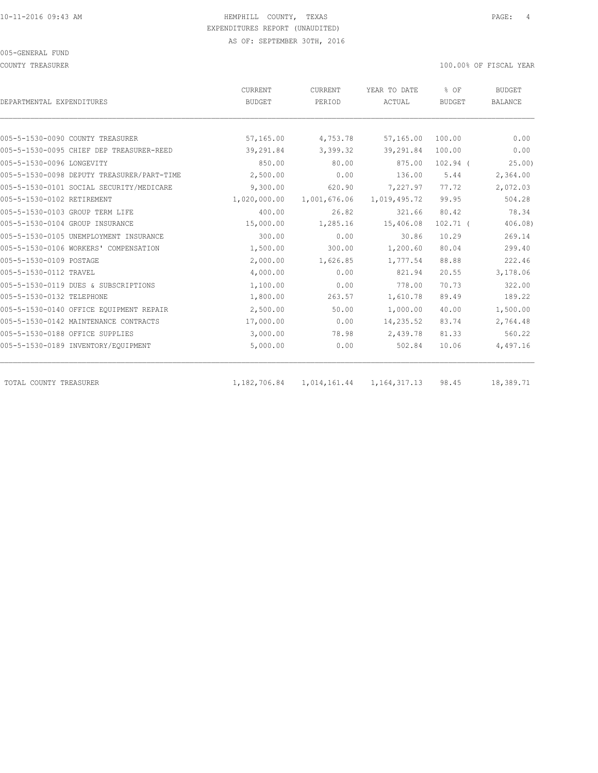COUNTY TREASURER 100.00% OF FISCAL YEAR

|                                            | CURRENT       | CURRENT      | YEAR TO DATE | % OF          | <b>BUDGET</b>  |
|--------------------------------------------|---------------|--------------|--------------|---------------|----------------|
| DEPARTMENTAL EXPENDITURES                  | <b>BUDGET</b> | PERIOD       | ACTUAL       | <b>BUDGET</b> | <b>BALANCE</b> |
|                                            |               |              |              |               |                |
| 005-5-1530-0090 COUNTY TREASURER           | 57,165.00     | 4,753.78     | 57,165.00    | 100.00        | 0.00           |
| 005-5-1530-0095 CHIEF DEP TREASURER-REED   | 39,291.84     | 3,399.32     | 39,291.84    | 100.00        | 0.00           |
| 005-5-1530-0096 LONGEVITY                  | 850.00        | 80.00        | 875.00       | $102.94$ (    | 25.00          |
| 005-5-1530-0098 DEPUTY TREASURER/PART-TIME | 2,500.00      | 0.00         | 136.00       | 5.44          | 2,364.00       |
| 005-5-1530-0101 SOCIAL SECURITY/MEDICARE   | 9,300.00      | 620.90       | 7,227.97     | 77.72         | 2,072.03       |
| 005-5-1530-0102 RETIREMENT                 | 1,020,000.00  | 1,001,676.06 | 1,019,495.72 | 99.95         | 504.28         |
| 005-5-1530-0103 GROUP TERM LIFE            | 400.00        | 26.82        | 321.66       | 80.42         | 78.34          |
| 005-5-1530-0104 GROUP INSURANCE            | 15,000.00     | 1,285.16     | 15,406.08    | $102.71$ (    | 406.08)        |
| 005-5-1530-0105 UNEMPLOYMENT INSURANCE     | 300.00        | 0.00         | 30.86        | 10.29         | 269.14         |
| 005-5-1530-0106 WORKERS' COMPENSATION      | 1,500.00      | 300.00       | 1,200.60     | 80.04         | 299.40         |
| 005-5-1530-0109 POSTAGE                    | 2,000.00      | 1,626.85     | 1,777.54     | 88.88         | 222.46         |
| 005-5-1530-0112 TRAVEL                     | 4,000.00      | 0.00         | 821.94       | 20.55         | 3,178.06       |
| 005-5-1530-0119 DUES & SUBSCRIPTIONS       | 1,100.00      | 0.00         | 778.00       | 70.73         | 322.00         |
| 005-5-1530-0132 TELEPHONE                  | 1,800.00      | 263.57       | 1,610.78     | 89.49         | 189.22         |
| 005-5-1530-0140 OFFICE EQUIPMENT REPAIR    | 2,500.00      | 50.00        | 1,000.00     | 40.00         | 1,500.00       |
| 005-5-1530-0142 MAINTENANCE CONTRACTS      | 17,000.00     | 0.00         | 14,235.52    | 83.74         | 2,764.48       |
| 005-5-1530-0188 OFFICE SUPPLIES            | 3,000.00      | 78.98        | 2,439.78     | 81.33         | 560.22         |
| 005-5-1530-0189 INVENTORY/EQUIPMENT        | 5,000.00      | 0.00         | 502.84       | 10.06         | 4,497.16       |
|                                            |               |              |              |               |                |

TOTAL COUNTY TREASURER 1,182,706.84 1,014,161.44 1,164,317.13 98.45 18,389.71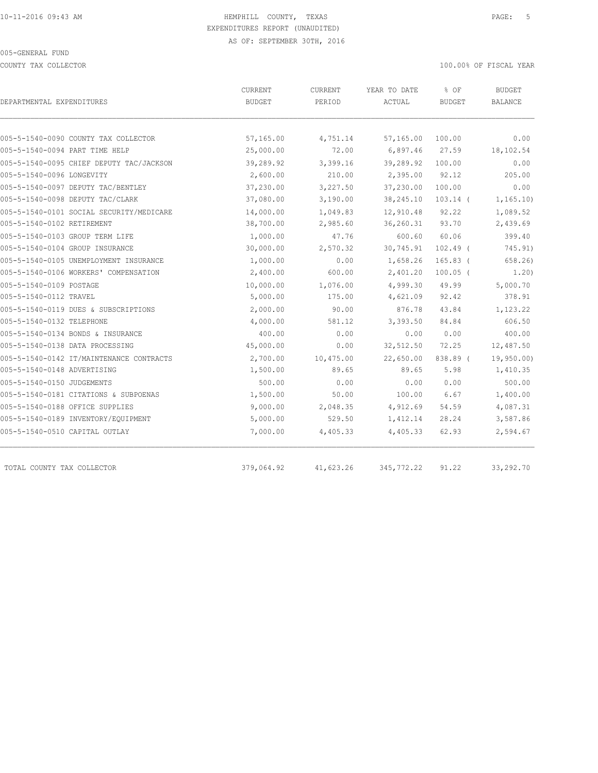COUNTY TAX COLLECTOR **EXECUTE A** SECOND THE SECOND THAT A SECOND THAT A SECOND THAT A SECOND THAT A SECOND THAT A SECOND THAT A SECOND THAT A SECOND THAT A SECOND THAT A SECOND THAT A SECOND THAT A SECOND THAT A SECOND THA

| DEPARTMENTAL EXPENDITURES                | <b>CURRENT</b><br><b>BUDGET</b> | <b>CURRENT</b><br>PERIOD | YEAR TO DATE<br>ACTUAL | % OF<br><b>BUDGET</b> | <b>BUDGET</b><br><b>BALANCE</b> |
|------------------------------------------|---------------------------------|--------------------------|------------------------|-----------------------|---------------------------------|
|                                          |                                 |                          |                        |                       |                                 |
| 005-5-1540-0090 COUNTY TAX COLLECTOR     | 57,165.00                       | 4,751.14                 | 57,165.00              | 100.00                | 0.00                            |
| 005-5-1540-0094 PART TIME HELP           | 25,000.00                       | 72.00                    | 6,897.46               | 27.59                 | 18,102.54                       |
| 005-5-1540-0095 CHIEF DEPUTY TAC/JACKSON | 39,289.92                       | 3,399.16                 | 39,289.92              | 100.00                | 0.00                            |
| 005-5-1540-0096 LONGEVITY                | 2,600.00                        | 210.00                   | 2,395.00               | 92.12                 | 205.00                          |
| 005-5-1540-0097 DEPUTY TAC/BENTLEY       | 37,230.00                       | 3,227.50                 | 37,230.00              | 100.00                | 0.00                            |
| 005-5-1540-0098 DEPUTY TAC/CLARK         | 37,080.00                       | 3,190.00                 | 38, 245.10             | $103.14$ (            | 1, 165.10                       |
| 005-5-1540-0101 SOCIAL SECURITY/MEDICARE | 14,000.00                       | 1,049.83                 | 12,910.48              | 92.22                 | 1,089.52                        |
| 005-5-1540-0102 RETIREMENT               | 38,700.00                       | 2,985.60                 | 36,260.31              | 93.70                 | 2,439.69                        |
| 005-5-1540-0103 GROUP TERM LIFE          | 1,000.00                        | 47.76                    | 600.60                 | 60.06                 | 399.40                          |
| 005-5-1540-0104 GROUP INSURANCE          | 30,000.00                       | 2,570.32                 | 30,745.91              | $102.49$ (            | 745.91)                         |
| 005-5-1540-0105 UNEMPLOYMENT INSURANCE   | 1,000.00                        | 0.00                     | 1,658.26               | $165.83$ (            | 658.26                          |
| 005-5-1540-0106 WORKERS' COMPENSATION    | 2,400.00                        | 600.00                   | 2,401.20               | $100.05$ (            | 1.20)                           |
| 005-5-1540-0109 POSTAGE                  | 10,000.00                       | 1,076.00                 | 4,999.30               | 49.99                 | 5,000.70                        |
| 005-5-1540-0112 TRAVEL                   | 5,000.00                        | 175.00                   | 4,621.09               | 92.42                 | 378.91                          |
| 005-5-1540-0119 DUES & SUBSCRIPTIONS     | 2,000.00                        | 90.00                    | 876.78                 | 43.84                 | 1,123.22                        |
| 005-5-1540-0132 TELEPHONE                | 4,000.00                        | 581.12                   | 3,393.50               | 84.84                 | 606.50                          |
| 005-5-1540-0134 BONDS & INSURANCE        | 400.00                          | 0.00                     | 0.00                   | 0.00                  | 400.00                          |
| 005-5-1540-0138 DATA PROCESSING          | 45,000.00                       | 0.00                     | 32,512.50              | 72.25                 | 12,487.50                       |
| 005-5-1540-0142 IT/MAINTENANCE CONTRACTS | 2,700.00                        | 10,475.00                | 22,650.00              | 838.89 (              | 19,950.00)                      |
| 005-5-1540-0148 ADVERTISING              | 1,500.00                        | 89.65                    | 89.65                  | 5.98                  | 1,410.35                        |
| 005-5-1540-0150 JUDGEMENTS               | 500.00                          | 0.00                     | 0.00                   | 0.00                  | 500.00                          |
| 005-5-1540-0181 CITATIONS & SUBPOENAS    | 1,500.00                        | 50.00                    | 100.00                 | 6.67                  | 1,400.00                        |
| 005-5-1540-0188 OFFICE SUPPLIES          | 9,000.00                        | 2,048.35                 | 4,912.69               | 54.59                 | 4,087.31                        |
| 005-5-1540-0189 INVENTORY/EQUIPMENT      | 5,000.00                        | 529.50                   | 1,412.14               | 28.24                 | 3,587.86                        |
| 005-5-1540-0510 CAPITAL OUTLAY           | 7,000.00                        | 4,405.33                 | 4,405.33               | 62.93                 | 2,594.67                        |
| TOTAL COUNTY TAX COLLECTOR               | 379,064.92                      | 41,623.26                | 345, 772.22            | 91.22                 | 33,292.70                       |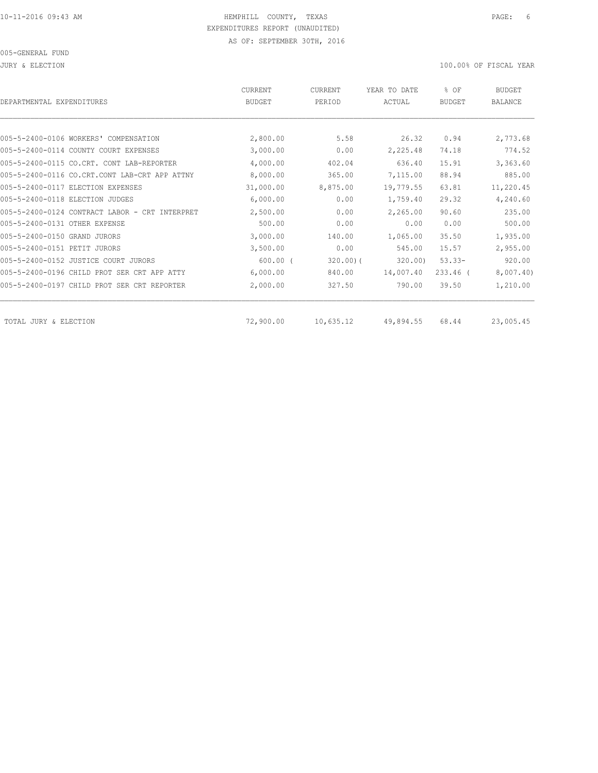JURY & ELECTION 100.00% OF FISCAL YEAR

| DEPARTMENTAL EXPENDITURES                      | <b>CURRENT</b><br><b>BUDGET</b> | CURRENT<br>PERIOD | YEAR TO DATE<br>ACTUAL | % OF<br><b>BUDGET</b> | <b>BUDGET</b><br><b>BALANCE</b> |
|------------------------------------------------|---------------------------------|-------------------|------------------------|-----------------------|---------------------------------|
|                                                |                                 |                   |                        |                       |                                 |
| 005-5-2400-0106 WORKERS' COMPENSATION          | 2,800.00                        | 5.58              | 26.32                  | 0.94                  | 2,773.68                        |
| 005-5-2400-0114 COUNTY COURT EXPENSES          | 3,000.00                        | 0.00              | 2,225.48               | 74.18                 | 774.52                          |
| 005-5-2400-0115 CO.CRT. CONT LAB-REPORTER      | 4,000.00                        | 402.04            | 636.40                 | 15.91                 | 3,363.60                        |
| 005-5-2400-0116 CO.CRT.CONT LAB-CRT APP ATTNY  | 8,000.00                        | 365.00            | 7,115.00               | 88.94                 | 885.00                          |
| 005-5-2400-0117 ELECTION EXPENSES              | 31,000.00                       | 8,875.00          | 19,779.55              | 63.81                 | 11,220.45                       |
| 005-5-2400-0118 ELECTION JUDGES                | 6,000.00                        | 0.00              | 1,759.40               | 29.32                 | 4,240.60                        |
| 005-5-2400-0124 CONTRACT LABOR - CRT INTERPRET | 2,500.00                        | 0.00              | 2,265.00               | 90.60                 | 235.00                          |
| 005-5-2400-0131 OTHER EXPENSE                  | 500.00                          | 0.00              | 0.00                   | 0.00                  | 500.00                          |
| 005-5-2400-0150 GRAND JURORS                   | 3,000.00                        | 140.00            | 1,065.00               | 35.50                 | 1,935.00                        |
| 005-5-2400-0151 PETIT JURORS                   | 3,500.00                        | 0.00              | 545.00                 | 15.57                 | 2,955.00                        |
| 005-5-2400-0152 JUSTICE COURT JURORS           | $600.00$ (                      | $320.00$ ) (      | 320.00                 | $53.33 -$             | 920.00                          |
| 005-5-2400-0196 CHILD PROT SER CRT APP ATTY    | 6,000.00                        | 840.00            | 14,007.40              | $233.46$ (            | 8,007.40                        |
| 005-5-2400-0197 CHILD PROT SER CRT REPORTER    | 2,000.00                        | 327.50            | 790.00                 | 39.50                 | 1,210.00                        |
| TOTAL JURY & ELECTION                          | 72,900.00                       | 10,635.12         | 49,894.55              | 68.44                 | 23,005.45                       |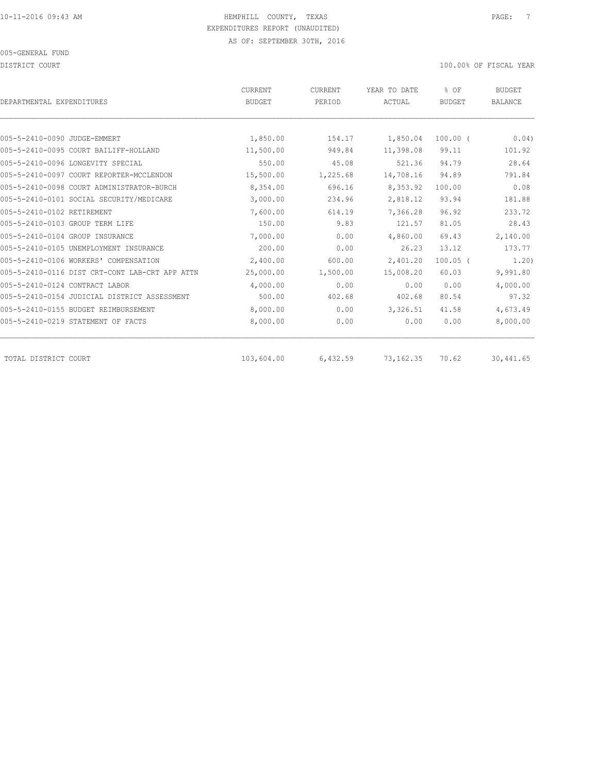DISTRICT COURT COURT COURT COURT COURT COURT COURT COURT COURT COURT COURT COURT COURT COURT COURT COURT COURT

| DEPARTMENTAL EXPENDITURES          |                                                | <b>CURRENT</b><br><b>BUDGET</b> | CURRENT<br>PERIOD | YEAR TO DATE<br>ACTUAL | % OF<br><b>BUDGET</b> | <b>BUDGET</b><br><b>BALANCE</b> |
|------------------------------------|------------------------------------------------|---------------------------------|-------------------|------------------------|-----------------------|---------------------------------|
|                                    |                                                |                                 |                   |                        |                       |                                 |
| 005-5-2410-0090 JUDGE-EMMERT       |                                                | 1,850.00                        | 154.17            | 1,850.04               | $100.00$ (            | 0.04)                           |
|                                    | 005-5-2410-0095 COURT BAILIFF-HOLLAND          | 11,500.00                       | 949.84            | 11,398.08              | 99.11                 | 101.92                          |
| 005-5-2410-0096 LONGEVITY SPECIAL  |                                                | 550.00                          | 45.08             | 521.36                 | 94.79                 | 28.64                           |
|                                    | 005-5-2410-0097 COURT REPORTER-MCCLENDON       | 15,500.00                       | 1,225.68          | 14,708.16              | 94.89                 | 791.84                          |
|                                    | 005-5-2410-0098 COURT ADMINISTRATOR-BURCH      | 8,354.00                        | 696.16            | 8,353.92               | 100.00                | 0.08                            |
|                                    | 005-5-2410-0101 SOCIAL SECURITY/MEDICARE       | 3,000.00                        | 234.96            | 2,818.12               | 93.94                 | 181.88                          |
| 005-5-2410-0102 RETIREMENT         |                                                | 7,600.00                        | 614.19            | 7,366.28               | 96.92                 | 233.72                          |
| 005-5-2410-0103 GROUP TERM LIFE    |                                                | 150.00                          | 9.83              | 121.57                 | 81.05                 | 28.43                           |
| 005-5-2410-0104 GROUP INSURANCE    |                                                | 7,000.00                        | 0.00              | 4,860.00               | 69.43                 | 2,140.00                        |
|                                    | 005-5-2410-0105 UNEMPLOYMENT INSURANCE         | 200.00                          | 0.00              | 26.23                  | 13.12                 | 173.77                          |
|                                    | 005-5-2410-0106 WORKERS' COMPENSATION          | 2,400.00                        | 600.00            | 2,401.20               | $100.05$ (            | 1.20)                           |
|                                    | 005-5-2410-0116 DIST CRT-CONT LAB-CRT APP ATTN | 25,000.00                       | 1,500.00          | 15,008.20              | 60.03                 | 9,991.80                        |
| 005-5-2410-0124 CONTRACT LABOR     |                                                | 4,000.00                        | 0.00              | 0.00                   | 0.00                  | 4,000.00                        |
|                                    | 005-5-2410-0154 JUDICIAL DISTRICT ASSESSMENT   | 500.00                          | 402.68            | 402.68                 | 80.54                 | 97.32                           |
|                                    | 005-5-2410-0155 BUDGET REIMBURSEMENT           | 8,000.00                        | 0.00              | 3,326.51               | 41.58                 | 4,673.49                        |
| 005-5-2410-0219 STATEMENT OF FACTS |                                                | 8,000.00                        | 0.00              | 0.00                   | 0.00                  | 8,000.00                        |
| TOTAL DISTRICT COURT               |                                                | 103,604.00                      | 6,432.59          | 73, 162.35             | 70.62                 | 30,441.65                       |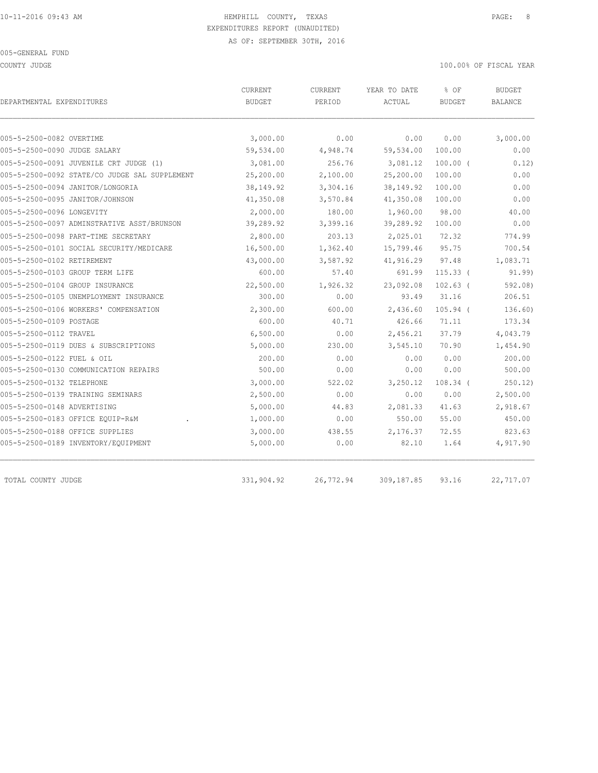COUNTY JUDGE 100.00% OF FISCAL YEAR

| DEPARTMENTAL EXPENDITURES                     | CURRENT<br><b>BUDGET</b> | CURRENT<br>PERIOD | YEAR TO DATE<br>ACTUAL | % OF<br><b>BUDGET</b> | <b>BUDGET</b><br><b>BALANCE</b> |
|-----------------------------------------------|--------------------------|-------------------|------------------------|-----------------------|---------------------------------|
|                                               |                          |                   |                        |                       |                                 |
| 005-5-2500-0082 OVERTIME                      | 3,000.00                 | 0.00              | 0.00                   | 0.00                  | 3,000.00                        |
| 005-5-2500-0090 JUDGE SALARY                  | 59,534.00                | 4,948.74          | 59,534.00              | 100.00                | 0.00                            |
| 005-5-2500-0091 JUVENILE CRT JUDGE (1)        | 3,081.00                 | 256.76            | 3,081.12               | $100.00$ (            | 0.12)                           |
| 005-5-2500-0092 STATE/CO JUDGE SAL SUPPLEMENT | 25,200.00                | 2,100.00          | 25,200.00              | 100.00                | 0.00                            |
| 005-5-2500-0094 JANITOR/LONGORIA              | 38,149.92                | 3,304.16          | 38, 149. 92            | 100.00                | 0.00                            |
| 005-5-2500-0095 JANITOR/JOHNSON               | 41,350.08                | 3,570.84          | 41,350.08              | 100.00                | 0.00                            |
| 005-5-2500-0096 LONGEVITY                     | 2,000.00                 | 180.00            | 1,960.00               | 98.00                 | 40.00                           |
| 005-5-2500-0097 ADMINSTRATIVE ASST/BRUNSON    | 39,289.92                | 3,399.16          | 39,289.92              | 100.00                | 0.00                            |
| 005-5-2500-0098 PART-TIME SECRETARY           | 2,800.00                 | 203.13            | 2,025.01               | 72.32                 | 774.99                          |
| 005-5-2500-0101 SOCIAL SECURITY/MEDICARE      | 16,500.00                | 1,362.40          | 15,799.46              | 95.75                 | 700.54                          |
| 005-5-2500-0102 RETIREMENT                    | 43,000.00                | 3,587.92          | 41,916.29              | 97.48                 | 1,083.71                        |
| 005-5-2500-0103 GROUP TERM LIFE               | 600.00                   | 57.40             | 691.99                 | $115.33$ (            | 91.99                           |
| 005-5-2500-0104 GROUP INSURANCE               | 22,500.00                | 1,926.32          | 23,092.08              | $102.63$ (            | 592.08                          |
| 005-5-2500-0105 UNEMPLOYMENT INSURANCE        | 300.00                   | 0.00              | 93.49                  | 31.16                 | 206.51                          |
| 005-5-2500-0106 WORKERS' COMPENSATION         | 2,300.00                 | 600.00            | 2,436.60               | $105.94$ (            | 136.60)                         |
| 005-5-2500-0109 POSTAGE                       | 600.00                   | 40.71             | 426.66                 | 71.11                 | 173.34                          |
| 005-5-2500-0112 TRAVEL                        | 6,500.00                 | 0.00              | 2,456.21               | 37.79                 | 4,043.79                        |
| 005-5-2500-0119 DUES & SUBSCRIPTIONS          | 5,000.00                 | 230.00            | 3,545.10               | 70.90                 | 1,454.90                        |
| 005-5-2500-0122 FUEL & OIL                    | 200.00                   | 0.00              | 0.00                   | 0.00                  | 200.00                          |
| 005-5-2500-0130 COMMUNICATION REPAIRS         | 500.00                   | 0.00              | 0.00                   | 0.00                  | 500.00                          |
| 005-5-2500-0132 TELEPHONE                     | 3,000.00                 | 522.02            | 3,250.12               | $108.34$ (            | 250.12                          |
| 005-5-2500-0139 TRAINING SEMINARS             | 2,500.00                 | 0.00              | 0.00                   | 0.00                  | 2,500.00                        |
| 005-5-2500-0148 ADVERTISING                   | 5,000.00                 | 44.83             | 2,081.33               | 41.63                 | 2,918.67                        |
| 005-5-2500-0183 OFFICE EQUIP-R&M              | 1,000.00                 | 0.00              | 550.00                 | 55.00                 | 450.00                          |
| 005-5-2500-0188 OFFICE SUPPLIES               | 3,000.00                 | 438.55            | 2,176.37               | 72.55                 | 823.63                          |
| 005-5-2500-0189 INVENTORY/EQUIPMENT           | 5,000.00                 | 0.00              | 82.10                  | 1.64                  | 4,917.90                        |
| TOTAL COUNTY JUDGE                            | 331,904.92               | 26,772.94         | 309,187.85             | 93.16                 | 22,717.07                       |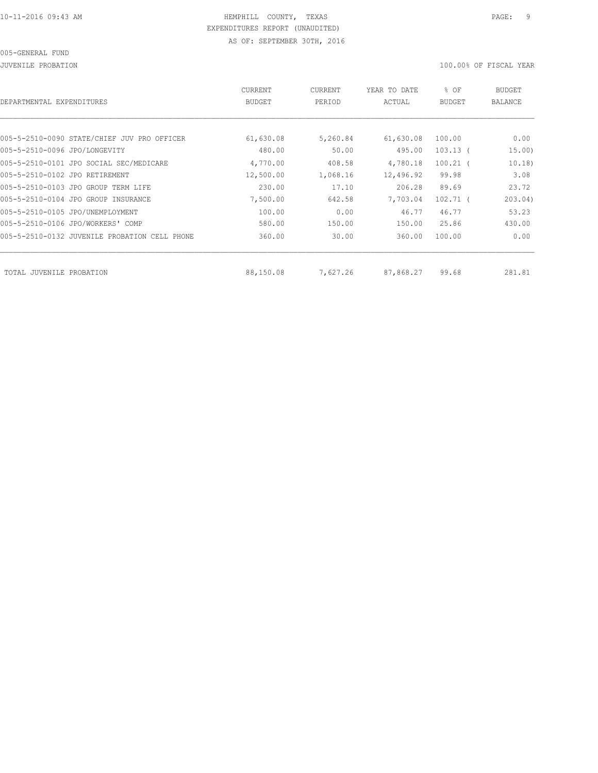JUVENILE PROBATION 100.00% OF FISCAL YEAR

| DEPARTMENTAL EXPENDITURES                     | <b>CURRENT</b><br><b>BUDGET</b> | CURRENT<br>PERIOD | YEAR TO DATE<br>ACTUAL | % OF<br><b>BUDGET</b> | BUDGET<br><b>BALANCE</b> |
|-----------------------------------------------|---------------------------------|-------------------|------------------------|-----------------------|--------------------------|
|                                               |                                 |                   |                        |                       |                          |
| 005-5-2510-0090 STATE/CHIEF JUV PRO OFFICER   | 61,630.08                       | 5,260.84          | 61,630.08              | 100.00                | 0.00                     |
| 005-5-2510-0096 JPO/LONGEVITY                 | 480.00                          | 50.00             | 495.00                 | $103.13$ (            | 15.00)                   |
| 005-5-2510-0101 JPO SOCIAL SEC/MEDICARE       | 4,770.00                        | 408.58            | 4,780.18               | $100.21$ (            | 10.18)                   |
| 005-5-2510-0102 JPO RETIREMENT                | 12,500.00                       | 1,068.16          | 12,496.92              | 99.98                 | 3.08                     |
| 005-5-2510-0103 JPO GROUP TERM LIFE           | 230.00                          | 17.10             | 206.28                 | 89.69                 | 23.72                    |
| 005-5-2510-0104 JPO GROUP INSURANCE           | 7,500.00                        | 642.58            | 7,703.04               | $102.71$ (            | 203.04)                  |
| 005-5-2510-0105 JPO/UNEMPLOYMENT              | 100.00                          | 0.00              | 46.77                  | 46.77                 | 53.23                    |
| 005-5-2510-0106 JPO/WORKERS' COMP             | 580.00                          | 150.00            | 150.00                 | 25.86                 | 430.00                   |
| 005-5-2510-0132 JUVENILE PROBATION CELL PHONE | 360.00                          | 30.00             | 360.00                 | 100.00                | 0.00                     |
|                                               |                                 |                   |                        |                       |                          |
| TOTAL JUVENILE<br>PROBATION                   | 88,150.08                       | 7,627.26          | 87,868.27              | 99.68                 | 281.81                   |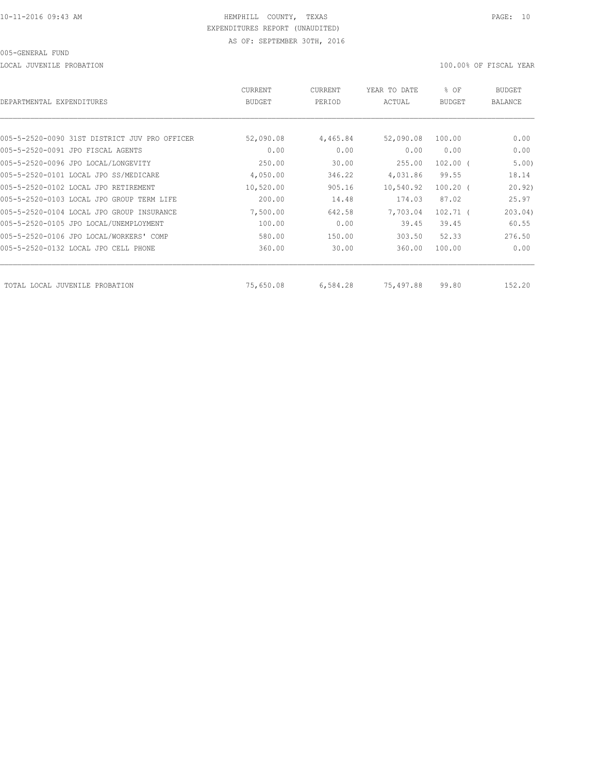LOCAL JUVENILE PROBATION 100.00% OF FISCAL YEAR

| DEPARTMENTAL EXPENDITURES                     | <b>CURRENT</b><br><b>BUDGET</b> | CURRENT<br>PERIOD | YEAR TO DATE<br>ACTUAL | % OF<br><b>BUDGET</b> | BUDGET<br><b>BALANCE</b> |
|-----------------------------------------------|---------------------------------|-------------------|------------------------|-----------------------|--------------------------|
|                                               |                                 |                   |                        |                       |                          |
| 005-5-2520-0090 31ST DISTRICT JUV PRO OFFICER | 52,090.08                       | 4,465.84          | 52,090.08              | 100.00                | 0.00                     |
| 005-5-2520-0091 JPO FISCAL AGENTS             | 0.00                            | 0.00              | 0.00                   | 0.00                  | 0.00                     |
| 005-5-2520-0096 JPO LOCAL/LONGEVITY           | 250.00                          | 30.00             | 255.00                 | $102.00$ (            | 5.00)                    |
| 005-5-2520-0101 LOCAL JPO SS/MEDICARE         | 4,050.00                        | 346.22            | 4,031.86               | 99.55                 | 18.14                    |
| 005-5-2520-0102 LOCAL JPO RETIREMENT          | 10,520.00                       | 905.16            | 10,540.92              | $100.20$ (            | 20.92)                   |
| 005-5-2520-0103 LOCAL JPO GROUP TERM LIFE     | 200.00                          | 14.48             | 174.03                 | 87.02                 | 25.97                    |
| 005-5-2520-0104 LOCAL JPO GROUP INSURANCE     | 7,500.00                        | 642.58            | 7,703.04               | $102.71$ (            | 203.04)                  |
| 005-5-2520-0105 JPO LOCAL/UNEMPLOYMENT        | 100.00                          | 0.00              | 39.45                  | 39.45                 | 60.55                    |
| 005-5-2520-0106 JPO LOCAL/WORKERS' COMP       | 580.00                          | 150.00            | 303.50                 | 52.33                 | 276.50                   |
| 005-5-2520-0132 LOCAL JPO CELL PHONE          | 360.00                          | 30.00             | 360.00                 | 100.00                | 0.00                     |
| TOTAL LOCAL JUVENILE<br>PROBATION             | 75,650.08                       | 6,584.28          | 75,497.88              | 99.80                 | 152.20                   |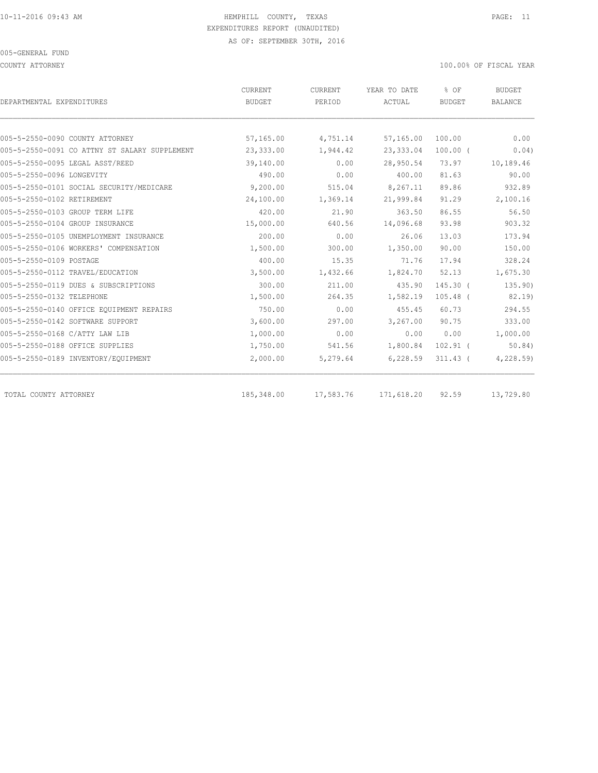COUNTY ATTORNEY 100.00% OF FISCAL YEAR

| DEPARTMENTAL EXPENDITURES                     | CURRENT<br>BUDGET | CURRENT<br>PERIOD | YEAR TO DATE<br>ACTUAL | % OF<br><b>BUDGET</b> | <b>BUDGET</b><br>BALANCE |
|-----------------------------------------------|-------------------|-------------------|------------------------|-----------------------|--------------------------|
|                                               |                   |                   |                        |                       |                          |
| 005-5-2550-0090 COUNTY ATTORNEY               | 57,165.00         | 4,751.14          | 57,165.00              | 100.00                | 0.00                     |
| 005-5-2550-0091 CO ATTNY ST SALARY SUPPLEMENT | 23,333.00         | 1,944.42          | 23,333.04              | $100.00$ (            | 0.04)                    |
| 005-5-2550-0095 LEGAL ASST/REED               | 39,140.00         | 0.00              | 28,950.54              | 73.97                 | 10,189.46                |
| 005-5-2550-0096 LONGEVITY                     | 490.00            | 0.00              | 400.00                 | 81.63                 | 90.00                    |
| 005-5-2550-0101 SOCIAL SECURITY/MEDICARE      | 9,200.00          | 515.04            | 8,267.11               | 89.86                 | 932.89                   |
| 005-5-2550-0102 RETIREMENT                    | 24,100.00         | 1,369.14          | 21,999.84              | 91.29                 | 2,100.16                 |
| 005-5-2550-0103 GROUP TERM LIFE               | 420.00            | 21.90             | 363.50                 | 86.55                 | 56.50                    |
| 005-5-2550-0104 GROUP INSURANCE               | 15,000.00         | 640.56            | 14,096.68              | 93.98                 | 903.32                   |
| 005-5-2550-0105 UNEMPLOYMENT INSURANCE        | 200.00            | 0.00              | 26.06                  | 13.03                 | 173.94                   |
| 005-5-2550-0106 WORKERS' COMPENSATION         | 1,500.00          | 300.00            | 1,350.00               | 90.00                 | 150.00                   |
| 005-5-2550-0109 POSTAGE                       | 400.00            | 15.35             | 71.76                  | 17.94                 | 328.24                   |
| 005-5-2550-0112 TRAVEL/EDUCATION              | 3,500.00          | 1,432.66          | 1,824.70               | 52.13                 | 1,675.30                 |
| 005-5-2550-0119 DUES & SUBSCRIPTIONS          | 300.00            | 211.00            | 435.90                 | $145.30$ (            | 135.90)                  |
| 005-5-2550-0132 TELEPHONE                     | 1,500.00          | 264.35            | 1,582.19               | $105.48$ (            | 82.19                    |
| 005-5-2550-0140 OFFICE EQUIPMENT REPAIRS      | 750.00            | 0.00              | 455.45                 | 60.73                 | 294.55                   |
| 005-5-2550-0142 SOFTWARE SUPPORT              | 3,600.00          | 297.00            | 3,267.00               | 90.75                 | 333.00                   |
| 005-5-2550-0168 C/ATTY LAW LIB                | 1,000.00          | 0.00              | 0.00                   | 0.00                  | 1,000.00                 |
| 005-5-2550-0188 OFFICE SUPPLIES               | 1,750.00          | 541.56            | 1,800.84               | $102.91$ (            | 50.84)                   |
| 005-5-2550-0189 INVENTORY/EQUIPMENT           | 2,000.00          | 5,279.64          | 6,228.59               | $311.43$ (            | 4,228.59)                |
| TOTAL COUNTY ATTORNEY                         | 185,348.00        | 17,583.76         | 171,618.20             | 92.59                 | 13,729.80                |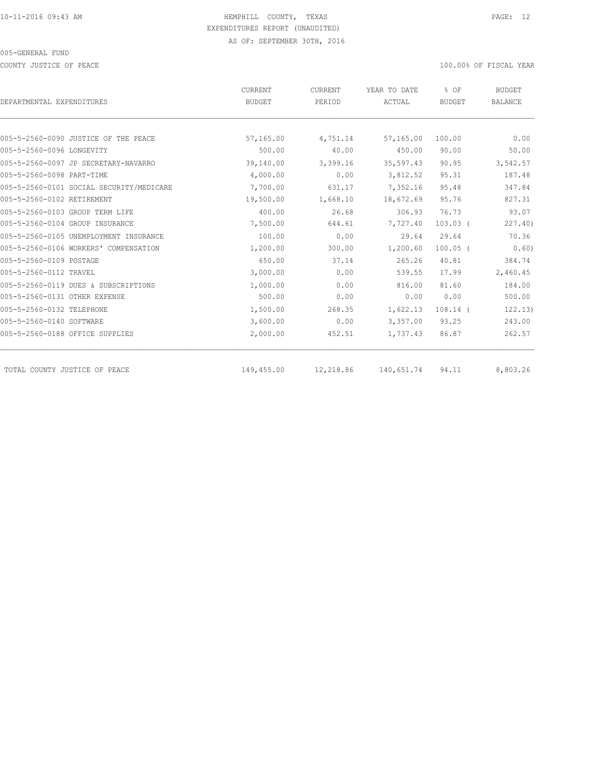COUNTY JUSTICE OF PEACE **100.000 OF FISCAL YEAR** 

|                                          | CURRENT       | CURRENT   | YEAR TO DATE | % OF          | <b>BUDGET</b>  |
|------------------------------------------|---------------|-----------|--------------|---------------|----------------|
| DEPARTMENTAL EXPENDITURES                | <b>BUDGET</b> | PERIOD    | ACTUAL       | <b>BUDGET</b> | <b>BALANCE</b> |
|                                          |               |           |              |               |                |
| 005-5-2560-0090 JUSTICE OF THE PEACE     | 57,165.00     | 4,751.14  | 57,165.00    | 100.00        | 0.00           |
| 005-5-2560-0096 LONGEVITY                | 500.00        | 40.00     | 450.00       | 90.00         | 50.00          |
| 005-5-2560-0097 JP SECRETARY-NAVARRO     | 39,140.00     | 3,399.16  | 35,597.43    | 90.95         | 3,542.57       |
| 005-5-2560-0098 PART-TIME                | 4,000.00      | 0.00      | 3,812.52     | 95.31         | 187.48         |
| 005-5-2560-0101 SOCIAL SECURITY/MEDICARE | 7,700.00      | 631.17    | 7,352.16     | 95.48         | 347.84         |
| 005-5-2560-0102 RETIREMENT               | 19,500.00     | 1,668.10  | 18,672.69    | 95.76         | 827.31         |
| 005-5-2560-0103 GROUP TERM LIFE          | 400.00        | 26.68     | 306.93       | 76.73         | 93.07          |
| 005-5-2560-0104 GROUP INSURANCE          | 7,500.00      | 644.61    | 7,727.40     | $103.03$ (    | 227.40         |
| 005-5-2560-0105 UNEMPLOYMENT INSURANCE   | 100.00        | 0.00      | 29.64        | 29.64         | 70.36          |
| 005-5-2560-0106 WORKERS' COMPENSATION    | 1,200.00      | 300.00    | 1,200.60     | $100.05$ (    | 0.60)          |
| 005-5-2560-0109 POSTAGE                  | 650.00        | 37.14     | 265.26       | 40.81         | 384.74         |
| 005-5-2560-0112 TRAVEL                   | 3,000.00      | 0.00      | 539.55       | 17.99         | 2,460.45       |
| 005-5-2560-0119 DUES & SUBSCRIPTIONS     | 1,000.00      | 0.00      | 816.00       | 81.60         | 184.00         |
| 005-5-2560-0131 OTHER EXPENSE            | 500.00        | 0.00      | 0.00         | 0.00          | 500.00         |
| 005-5-2560-0132 TELEPHONE                | 1,500.00      | 268.35    | 1,622.13     | $108.14$ (    | 122.13)        |
| 005-5-2560-0140 SOFTWARE                 | 3,600.00      | 0.00      | 3,357.00     | 93.25         | 243.00         |
| 005-5-2560-0188 OFFICE SUPPLIES          | 2,000.00      | 452.51    | 1,737.43     | 86.87         | 262.57         |
| TOTAL COUNTY JUSTICE OF PEACE            | 149,455.00    | 12,218.86 | 140,651.74   | 94.11         | 8,803.26       |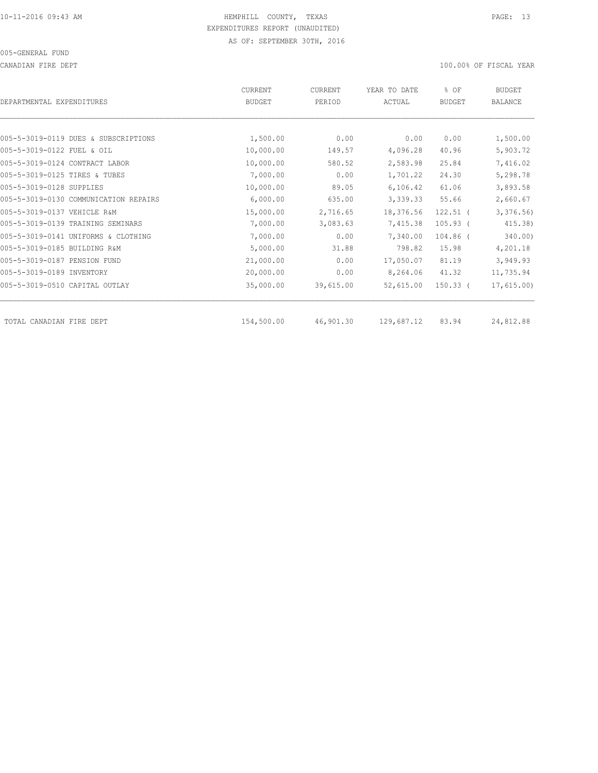CANADIAN FIRE DEPT 100.00% OF FISCAL YEAR

| DEPARTMENTAL EXPENDITURES             | <b>CURRENT</b><br><b>BUDGET</b> | CURRENT<br>PERIOD | YEAR TO DATE<br>ACTUAL | % OF<br><b>BUDGET</b> | <b>BUDGET</b><br><b>BALANCE</b> |
|---------------------------------------|---------------------------------|-------------------|------------------------|-----------------------|---------------------------------|
|                                       |                                 |                   |                        |                       |                                 |
| 005-5-3019-0119 DUES & SUBSCRIPTIONS  | 1,500.00                        | 0.00              | 0.00                   | 0.00                  | 1,500.00                        |
| 005-5-3019-0122 FUEL & OIL            | 10,000.00                       | 149.57            | 4,096.28               | 40.96                 | 5,903.72                        |
| 005-5-3019-0124 CONTRACT LABOR        | 10,000.00                       | 580.52            | 2,583.98               | 25.84                 | 7,416.02                        |
| 005-5-3019-0125 TIRES & TUBES         | 7,000.00                        | 0.00              | 1,701.22               | 24.30                 | 5,298.78                        |
| 005-5-3019-0128 SUPPLIES              | 10,000.00                       | 89.05             | 6, 106.42              | 61.06                 | 3,893.58                        |
| 005-5-3019-0130 COMMUNICATION REPAIRS | 6,000.00                        | 635.00            | 3,339.33               | 55.66                 | 2,660.67                        |
| 005-5-3019-0137 VEHICLE R&M           | 15,000.00                       | 2,716.65          | 18,376.56              | $122.51$ (            | 3,376.56                        |
| 005-5-3019-0139 TRAINING SEMINARS     | 7,000.00                        | 3,083.63          | 7,415.38               | $105.93$ (            | 415.38)                         |
| 005-5-3019-0141 UNIFORMS & CLOTHING   | 7,000.00                        | 0.00              | 7,340.00               | $104.86$ (            | 340.00)                         |
| 005-5-3019-0185 BUILDING R&M          | 5,000.00                        | 31.88             | 798.82                 | 15.98                 | 4,201.18                        |
| 005-5-3019-0187 PENSION FUND          | 21,000.00                       | 0.00              | 17,050.07              | 81.19                 | 3,949.93                        |
| 005-5-3019-0189 INVENTORY             | 20,000.00                       | 0.00              | 8,264.06               | 41.32                 | 11,735.94                       |
| 005-5-3019-0510 CAPITAL OUTLAY        | 35,000.00                       | 39,615.00         | 52,615.00              | $150.33$ (            | 17,615.00                       |
| TOTAL CANADIAN FIRE DEPT              | 154,500.00                      | 46,901.30         | 129,687.12             | 83.94                 | 24,812.88                       |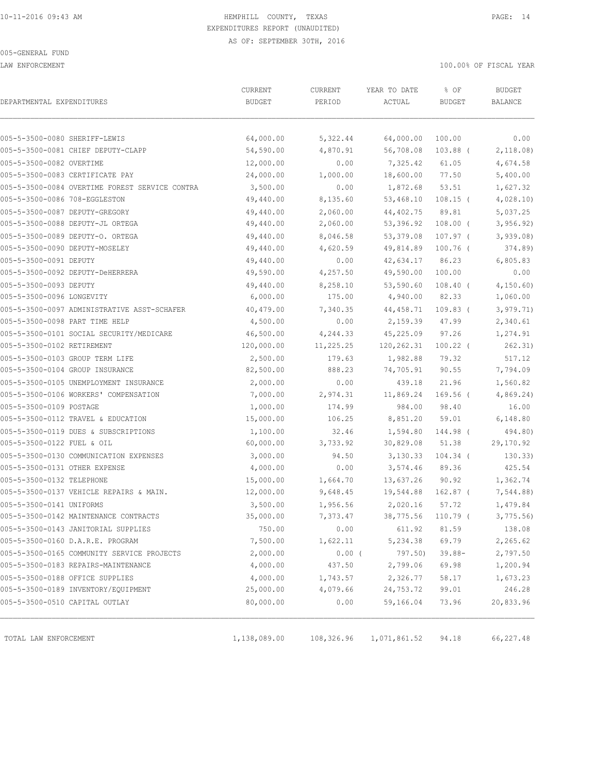LAW ENFORCEMENT 100.00% OF FISCAL YEAR

|                                                | CURRENT       | CURRENT    | YEAR TO DATE | % OF       | <b>BUDGET</b> |
|------------------------------------------------|---------------|------------|--------------|------------|---------------|
| DEPARTMENTAL EXPENDITURES                      | <b>BUDGET</b> | PERIOD     | ACTUAL       | BUDGET     | BALANCE       |
|                                                |               |            |              |            |               |
| 005-5-3500-0080 SHERIFF-LEWIS                  | 64,000.00     | 5,322.44   | 64,000.00    | 100.00     | 0.00          |
| 005-5-3500-0081 CHIEF DEPUTY-CLAPP             | 54,590.00     | 4,870.91   | 56,708.08    | $103.88$ ( | 2,118.08      |
| 005-5-3500-0082 OVERTIME                       | 12,000.00     | 0.00       | 7,325.42     | 61.05      | 4,674.58      |
| 005-5-3500-0083 CERTIFICATE PAY                | 24,000.00     | 1,000.00   | 18,600.00    | 77.50      | 5,400.00      |
| 005-5-3500-0084 OVERTIME FOREST SERVICE CONTRA | 3,500.00      | 0.00       | 1,872.68     | 53.51      | 1,627.32      |
| 005-5-3500-0086 708-EGGLESTON                  | 49,440.00     | 8,135.60   | 53,468.10    | $108.15$ ( | 4,028.10      |
| 005-5-3500-0087 DEPUTY-GREGORY                 | 49,440.00     | 2,060.00   | 44, 402.75   | 89.81      | 5,037.25      |
| 005-5-3500-0088 DEPUTY-JL ORTEGA               | 49,440.00     | 2,060.00   | 53,396.92    | $108.00$ ( | 3,956.92)     |
| 005-5-3500-0089 DEPUTY-O. ORTEGA               | 49,440.00     | 8,046.58   | 53, 379.08   | $107.97$ ( | 3,939.08      |
| 005-5-3500-0090 DEPUTY-MOSELEY                 | 49,440.00     | 4,620.59   | 49,814.89    | $100.76$ ( | 374.89)       |
| 005-5-3500-0091 DEPUTY                         | 49,440.00     | 0.00       | 42,634.17    | 86.23      | 6,805.83      |
| 005-5-3500-0092 DEPUTY-DeHERRERA               | 49,590.00     | 4,257.50   | 49,590.00    | 100.00     | 0.00          |
| 005-5-3500-0093 DEPUTY                         | 49,440.00     | 8,258.10   | 53,590.60    | $108.40$ ( | 4, 150.60     |
| 005-5-3500-0096 LONGEVITY                      | 6,000.00      | 175.00     | 4,940.00     | 82.33      | 1,060.00      |
| 005-5-3500-0097 ADMINISTRATIVE ASST-SCHAFER    | 40, 479.00    | 7,340.35   | 44, 458.71   | $109.83$ ( | 3,979.71)     |
| 005-5-3500-0098 PART TIME HELP                 | 4,500.00      | 0.00       | 2,159.39     | 47.99      | 2,340.61      |
| 005-5-3500-0101 SOCIAL SECURITY/MEDICARE       | 46,500.00     | 4,244.33   | 45,225.09    | 97.26      | 1,274.91      |
| 005-5-3500-0102 RETIREMENT                     | 120,000.00    | 11,225.25  | 120,262.31   | $100.22$ ( | 262.31)       |
| 005-5-3500-0103 GROUP TERM LIFE                | 2,500.00      | 179.63     | 1,982.88     | 79.32      | 517.12        |
| 005-5-3500-0104 GROUP INSURANCE                | 82,500.00     | 888.23     | 74,705.91    | 90.55      | 7,794.09      |
| 005-5-3500-0105 UNEMPLOYMENT INSURANCE         | 2,000.00      | 0.00       | 439.18       | 21.96      | 1,560.82      |
| 005-5-3500-0106 WORKERS' COMPENSATION          | 7,000.00      | 2,974.31   | 11,869.24    | 169.56 (   | 4,869.24)     |
| 005-5-3500-0109 POSTAGE                        | 1,000.00      | 174.99     | 984.00       | 98.40      | 16.00         |
| 005-5-3500-0112 TRAVEL & EDUCATION             | 15,000.00     | 106.25     | 8,851.20     | 59.01      | 6,148.80      |
| 005-5-3500-0119 DUES & SUBSCRIPTIONS           | 1,100.00      | 32.46      | 1,594.80     | 144.98 (   | 494.80)       |
| 005-5-3500-0122 FUEL & OIL                     | 60,000.00     | 3,733.92   | 30,829.08    | 51.38      | 29,170.92     |
| 005-5-3500-0130 COMMUNICATION EXPENSES         | 3,000.00      | 94.50      | 3,130.33     | $104.34$ ( | 130.33)       |
| 005-5-3500-0131 OTHER EXPENSE                  | 4,000.00      | 0.00       | 3,574.46     | 89.36      | 425.54        |
| 005-5-3500-0132 TELEPHONE                      | 15,000.00     | 1,664.70   | 13,637.26    | 90.92      | 1,362.74      |
| 005-5-3500-0137 VEHICLE REPAIRS & MAIN.        | 12,000.00     | 9,648.45   | 19,544.88    | 162.87 (   | 7,544.88)     |
| 005-5-3500-0141 UNIFORMS                       | 3,500.00      | 1,956.56   | 2,020.16     | 57.72      | 1,479.84      |
| 005-5-3500-0142 MAINTENANCE CONTRACTS          | 35,000.00     | 7,373.47   | 38,775.56    | $110.79$ ( | 3,775.56      |
| 005-5-3500-0143 JANITORIAL SUPPLIES            | 750.00        | 0.00       | 611.92       | 81.59      | 138.08        |
| 005-5-3500-0160 D.A.R.E. PROGRAM               | 7,500.00      | 1,622.11   | 5,234.38     | 69.79      | 2,265.62      |
| 005-5-3500-0165 COMMUNITY SERVICE PROJECTS     | 2,000.00      | $0.00$ (   | 797.50)      | $39.88 -$  | 2,797.50      |
| 005-5-3500-0183 REPAIRS-MAINTENANCE            | 4,000.00      | 437.50     | 2,799.06     | 69.98      | 1,200.94      |
| 005-5-3500-0188 OFFICE SUPPLIES                | 4,000.00      | 1,743.57   | 2,326.77     | 58.17      | 1,673.23      |
| 005-5-3500-0189 INVENTORY/EQUIPMENT            | 25,000.00     | 4,079.66   | 24,753.72    | 99.01      | 246.28        |
| 005-5-3500-0510 CAPITAL OUTLAY                 | 80,000.00     | 0.00       | 59,166.04    | 73.96      | 20,833.96     |
|                                                |               |            |              |            |               |
| TOTAL LAW ENFORCEMENT                          | 1,138,089.00  | 108,326.96 | 1,071,861.52 | 94.18      | 66,227.48     |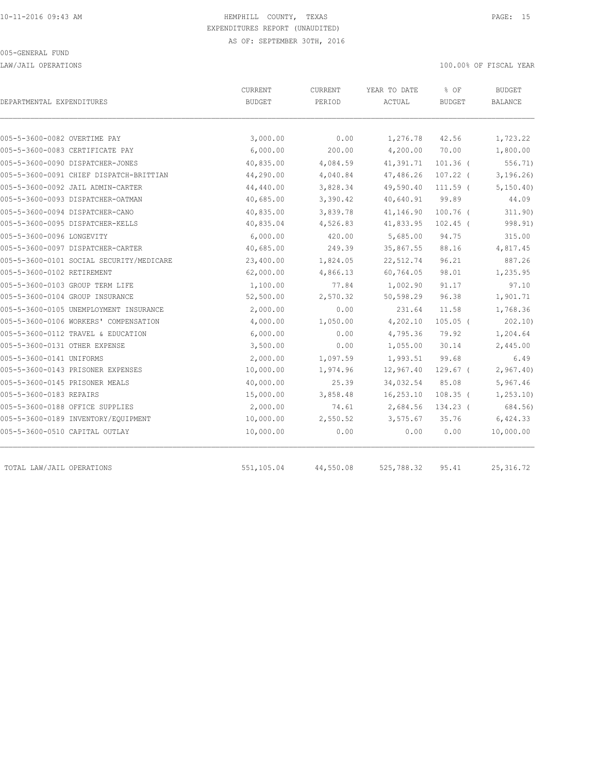LAW/JAIL OPERATIONS 100.00% OF FISCAL YEAR

| DEPARTMENTAL EXPENDITURES                | CURRENT<br><b>BUDGET</b> | <b>CURRENT</b><br>PERIOD | YEAR TO DATE<br>ACTUAL | % OF<br><b>BUDGET</b> | <b>BUDGET</b><br>BALANCE |
|------------------------------------------|--------------------------|--------------------------|------------------------|-----------------------|--------------------------|
|                                          |                          |                          |                        |                       |                          |
| 005-5-3600-0082 OVERTIME PAY             | 3,000.00                 | 0.00                     | 1,276.78               | 42.56                 | 1,723.22                 |
| 005-5-3600-0083 CERTIFICATE PAY          | 6,000.00                 | 200.00                   | 4,200.00               | 70.00                 | 1,800.00                 |
| 005-5-3600-0090 DISPATCHER-JONES         | 40,835.00                | 4,084.59                 | 41,391.71              | $101.36$ (            | 556.71)                  |
| 005-5-3600-0091 CHIEF DISPATCH-BRITTIAN  | 44,290.00                | 4,040.84                 | 47,486.26              | $107.22$ (            | 3, 196.26)               |
| 005-5-3600-0092 JAIL ADMIN-CARTER        | 44,440.00                | 3,828.34                 | 49,590.40              | $111.59$ (            | 5, 150, 40               |
| 005-5-3600-0093 DISPATCHER-OATMAN        | 40,685.00                | 3,390.42                 | 40,640.91              | 99.89                 | 44.09                    |
| 005-5-3600-0094 DISPATCHER-CANO          | 40,835.00                | 3,839.78                 | 41,146.90              | $100.76$ (            | 311.90)                  |
| 005-5-3600-0095 DISPATCHER-KELLS         | 40,835.04                | 4,526.83                 | 41,833.95              | $102.45$ (            | 998.91)                  |
| 005-5-3600-0096 LONGEVITY                | 6,000.00                 | 420.00                   | 5,685.00               | 94.75                 | 315.00                   |
| 005-5-3600-0097 DISPATCHER-CARTER        | 40,685.00                | 249.39                   | 35,867.55              | 88.16                 | 4,817.45                 |
| 005-5-3600-0101 SOCIAL SECURITY/MEDICARE | 23,400.00                | 1,824.05                 | 22,512.74              | 96.21                 | 887.26                   |
| 005-5-3600-0102 RETIREMENT               | 62,000.00                | 4,866.13                 | 60,764.05              | 98.01                 | 1,235.95                 |
| 005-5-3600-0103 GROUP TERM LIFE          | 1,100.00                 | 77.84                    | 1,002.90               | 91.17                 | 97.10                    |
| 005-5-3600-0104 GROUP INSURANCE          | 52,500.00                | 2,570.32                 | 50,598.29              | 96.38                 | 1,901.71                 |
| 005-5-3600-0105 UNEMPLOYMENT INSURANCE   | 2,000.00                 | 0.00                     | 231.64                 | 11.58                 | 1,768.36                 |
| 005-5-3600-0106 WORKERS' COMPENSATION    | 4,000.00                 | 1,050.00                 | 4,202.10               | $105.05$ (            | 202.10                   |
| 005-5-3600-0112 TRAVEL & EDUCATION       | 6,000.00                 | 0.00                     | 4,795.36               | 79.92                 | 1,204.64                 |
| 005-5-3600-0131 OTHER EXPENSE            | 3,500.00                 | 0.00                     | 1,055.00               | 30.14                 | 2,445.00                 |
| 005-5-3600-0141 UNIFORMS                 | 2,000.00                 | 1,097.59                 | 1,993.51               | 99.68                 | 6.49                     |
| 005-5-3600-0143 PRISONER EXPENSES        | 10,000.00                | 1,974.96                 | 12,967.40              | $129.67$ (            | 2,967.40                 |
| 005-5-3600-0145 PRISONER MEALS           | 40,000.00                | 25.39                    | 34,032.54              | 85.08                 | 5,967.46                 |
| 005-5-3600-0183 REPAIRS                  | 15,000.00                | 3,858.48                 | 16,253.10              | $108.35$ (            | 1, 253.10                |
| 005-5-3600-0188 OFFICE SUPPLIES          | 2,000.00                 | 74.61                    | 2,684.56               | 134.23 (              | 684.56)                  |
| 005-5-3600-0189 INVENTORY/EQUIPMENT      | 10,000.00                | 2,550.52                 | 3,575.67               | 35.76                 | 6,424.33                 |
| 005-5-3600-0510 CAPITAL OUTLAY           | 10,000.00                | 0.00                     | 0.00                   | 0.00                  | 10,000.00                |
| TOTAL LAW/JAIL OPERATIONS                | 551,105.04               | 44,550.08                | 525,788.32             | 95.41                 | 25, 316.72               |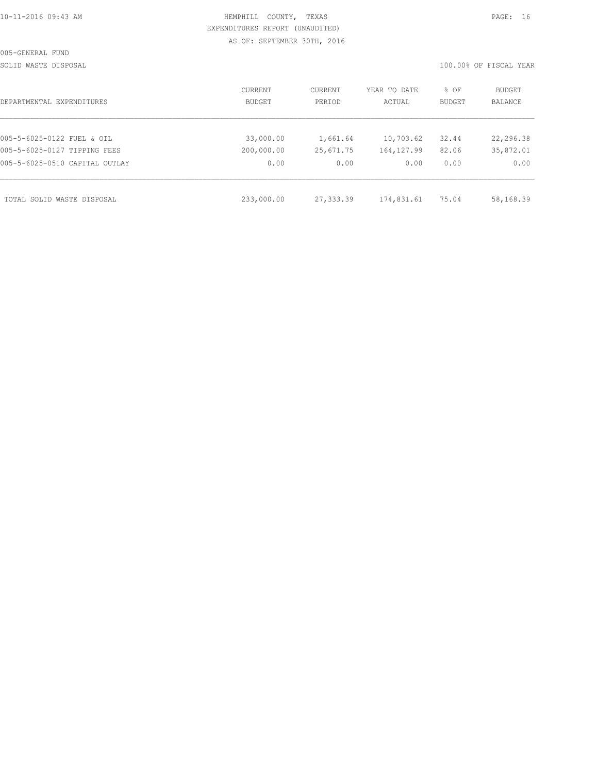SOLID WASTE DISPOSAL 100.00% OF FISCAL YEAR

| DEPARTMENTAL EXPENDITURES      | CURRENT<br>BUDGET | CURRENT<br>PERIOD | YEAR TO DATE<br>ACTUAL | % OF<br>BUDGET | BUDGET<br><b>BALANCE</b> |
|--------------------------------|-------------------|-------------------|------------------------|----------------|--------------------------|
| 005-5-6025-0122 FUEL & OIL     | 33,000.00         | 1,661.64          | 10,703.62              | 32.44          | 22,296.38                |
| 005-5-6025-0127 TIPPING FEES   | 200,000.00        | 25,671.75         | 164, 127.99            | 82.06          | 35,872.01                |
| 005-5-6025-0510 CAPITAL OUTLAY | 0.00              | 0.00              | 0.00                   | 0.00           | 0.00                     |
| TOTAL SOLID WASTE DISPOSAL     | 233,000.00        | 27,333.39         | 174,831.61             | 75.04          | 58,168.39                |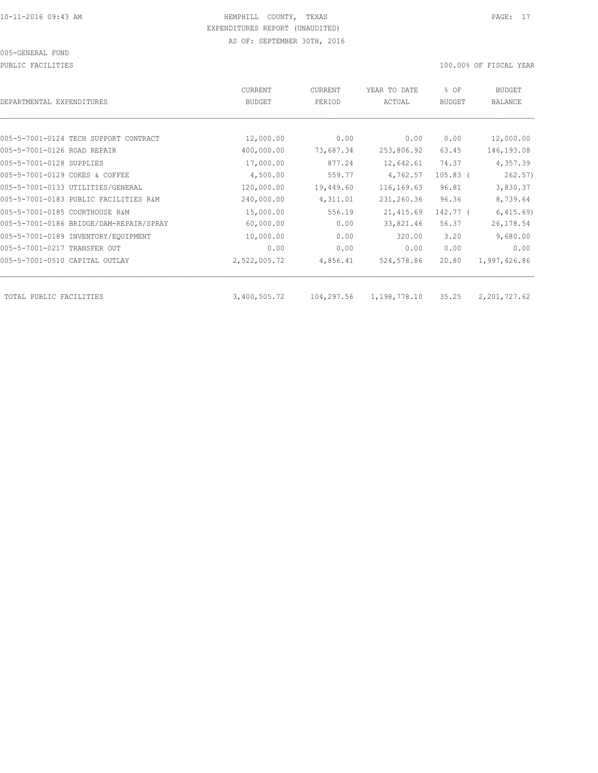PUBLIC FACILITIES 100.00% OF FISCAL YEAR

| DEPARTMENTAL EXPENDITURES               | <b>CURRENT</b><br><b>BUDGET</b> | CURRENT<br>PERIOD | YEAR TO DATE<br>ACTUAL | % OF<br><b>BUDGET</b> | BUDGET<br><b>BALANCE</b> |
|-----------------------------------------|---------------------------------|-------------------|------------------------|-----------------------|--------------------------|
|                                         |                                 |                   |                        |                       |                          |
| 005-5-7001-0124 TECH SUPPORT CONTRACT   | 12,000.00                       | 0.00              | 0.00                   | 0.00                  | 12,000.00                |
| 005-5-7001-0126 ROAD REPAIR             | 400,000.00                      | 73,687.34         | 253,806.92             | 63.45                 | 146,193.08               |
| 005-5-7001-0128 SUPPLIES                | 17,000.00                       | 877.24            | 12,642.61              | 74.37                 | 4,357.39                 |
| 005-5-7001-0129 COKES & COFFEE          | 4,500.00                        | 559.77            | 4,762.57               | $105.83$ (            | 262.57)                  |
| 005-5-7001-0133 UTILITIES/GENERAL       | 120,000.00                      | 19,449.60         | 116, 169.63            | 96.81                 | 3,830.37                 |
| 005-5-7001-0183 PUBLIC FACILITIES R&M   | 240,000.00                      | 4,311.01          | 231,260.36             | 96.36                 | 8,739.64                 |
| 005-5-7001-0185 COURTHOUSE R&M          | 15,000.00                       | 556.19            | 21, 415.69             | 142.77 (              | 6,415.69                 |
| 005-5-7001-0186 BRIDGE/DAM-REPAIR/SPRAY | 60,000.00                       | 0.00              | 33,821.46              | 56.37                 | 26, 178.54               |
| 005-5-7001-0189 INVENTORY/EQUIPMENT     | 10,000.00                       | 0.00              | 320.00                 | 3.20                  | 9,680.00                 |
| 005-5-7001-0217 TRANSFER OUT            | 0.00                            | 0.00              | 0.00                   | 0.00                  | 0.00                     |
| 005-5-7001-0510 CAPITAL OUTLAY          | 2,522,005.72                    | 4,856.41          | 524,578.86             | 20.80                 | 1,997,426.86             |
| TOTAL PUBLIC FACILITIES                 | 3,400,505.72                    | 104,297.56        | 1,198,778.10           | 35.25                 | 2,201,727.62             |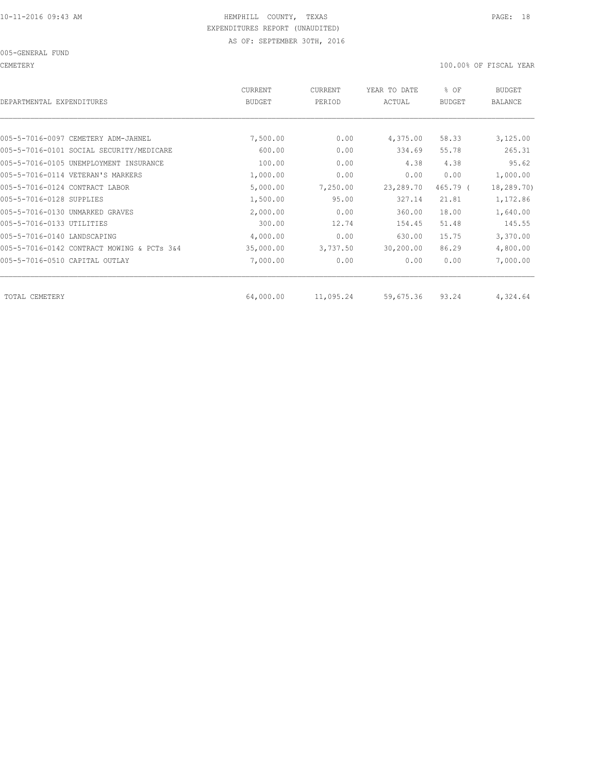CEMETERY 100.00% OF FISCAL YEAR

| DEPARTMENTAL EXPENDITURES                  | CURRENT<br><b>BUDGET</b> | CURRENT<br>PERIOD | YEAR TO DATE<br>ACTUAL | % OF<br><b>BUDGET</b> | <b>BUDGET</b><br>BALANCE |
|--------------------------------------------|--------------------------|-------------------|------------------------|-----------------------|--------------------------|
|                                            |                          |                   |                        |                       |                          |
| 005-5-7016-0097 CEMETERY ADM-JAHNEL        | 7,500.00                 | 0.00              | 4,375.00               | 58.33                 | 3,125.00                 |
| 005-5-7016-0101 SOCIAL SECURITY/MEDICARE   | 600.00                   | 0.00              | 334.69                 | 55.78                 | 265.31                   |
| 005-5-7016-0105 UNEMPLOYMENT INSURANCE     | 100.00                   | 0.00              | 4.38                   | 4.38                  | 95.62                    |
| 005-5-7016-0114 VETERAN'S MARKERS          | 1,000.00                 | 0.00              | 0.00                   | 0.00                  | 1,000.00                 |
| 005-5-7016-0124 CONTRACT LABOR             | 5,000.00                 | 7,250.00          | 23,289.70              | 465.79 (              | 18,289.70)               |
| 005-5-7016-0128 SUPPLIES                   | 1,500.00                 | 95.00             | 327.14                 | 21.81                 | 1,172.86                 |
| 005-5-7016-0130 UNMARKED GRAVES            | 2,000.00                 | 0.00              | 360.00                 | 18.00                 | 1,640.00                 |
| 005-5-7016-0133 UTILITIES                  | 300.00                   | 12.74             | 154.45                 | 51.48                 | 145.55                   |
| 005-5-7016-0140 LANDSCAPING                | 4,000.00                 | 0.00              | 630.00                 | 15.75                 | 3,370.00                 |
| 005-5-7016-0142 CONTRACT MOWING & PCTs 3&4 | 35,000.00                | 3,737.50          | 30, 200.00             | 86.29                 | 4,800.00                 |
| 005-5-7016-0510 CAPITAL OUTLAY             | 7,000.00                 | 0.00              | 0.00                   | 0.00                  | 7,000.00                 |
| TOTAL CEMETERY                             | 64,000.00                | 11,095.24         | 59,675.36              | 93.24                 | 4,324.64                 |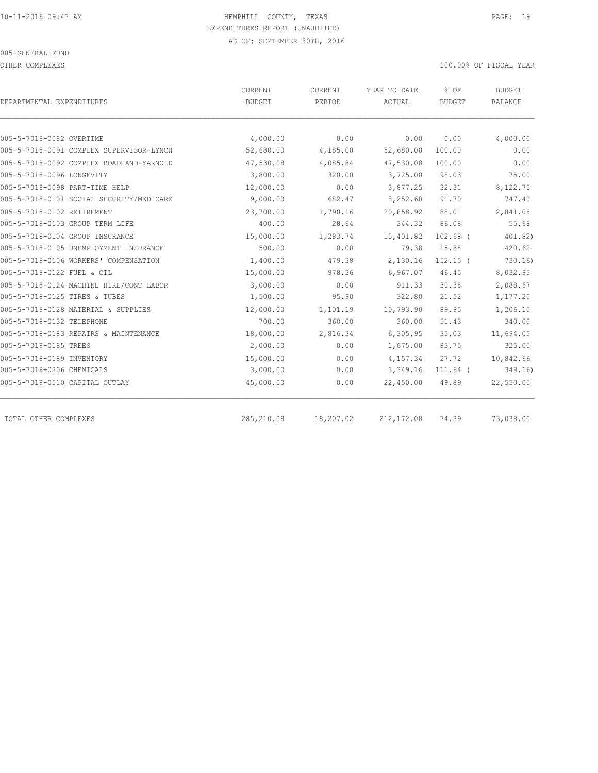OTHER COMPLEXES 100.00% OF FISCAL YEAR

| DEPARTMENTAL EXPENDITURES                | <b>CURRENT</b><br><b>BUDGET</b> | <b>CURRENT</b><br>PERIOD | YEAR TO DATE<br>ACTUAL | % OF<br><b>BUDGET</b> | <b>BUDGET</b><br><b>BALANCE</b> |
|------------------------------------------|---------------------------------|--------------------------|------------------------|-----------------------|---------------------------------|
|                                          |                                 |                          |                        |                       |                                 |
| 005-5-7018-0082 OVERTIME                 | 4,000.00                        | 0.00                     | 0.00                   | 0.00                  | 4,000.00                        |
| 005-5-7018-0091 COMPLEX SUPERVISOR-LYNCH | 52,680.00                       | 4,185.00                 | 52,680.00              | 100.00                | 0.00                            |
| 005-5-7018-0092 COMPLEX ROADHAND-YARNOLD | 47,530.08                       | 4,085.84                 | 47,530.08              | 100.00                | 0.00                            |
| 005-5-7018-0096 LONGEVITY                | 3,800.00                        | 320.00                   | 3,725.00               | 98.03                 | 75.00                           |
| 005-5-7018-0098 PART-TIME HELP           | 12,000.00                       | 0.00                     | 3,877.25               | 32.31                 | 8,122.75                        |
| 005-5-7018-0101 SOCIAL SECURITY/MEDICARE | 9,000.00                        | 682.47                   | 8,252.60               | 91.70                 | 747.40                          |
| 005-5-7018-0102 RETIREMENT               | 23,700.00                       | 1,790.16                 | 20,858.92              | 88.01                 | 2,841.08                        |
| 005-5-7018-0103 GROUP TERM LIFE          | 400.00                          | 28.64                    | 344.32                 | 86.08                 | 55.68                           |
| 005-5-7018-0104 GROUP INSURANCE          | 15,000.00                       | 1,283.74                 | 15,401.82              | $102.68$ (            | 401.82)                         |
| 005-5-7018-0105 UNEMPLOYMENT INSURANCE   | 500.00                          | 0.00                     | 79.38                  | 15.88                 | 420.62                          |
| 005-5-7018-0106 WORKERS' COMPENSATION    | 1,400.00                        | 479.38                   | 2,130.16               | $152.15$ (            | 730.16                          |
| 005-5-7018-0122 FUEL & OIL               | 15,000.00                       | 978.36                   | 6,967.07               | 46.45                 | 8,032.93                        |
| 005-5-7018-0124 MACHINE HIRE/CONT LABOR  | 3,000.00                        | 0.00                     | 911.33                 | 30.38                 | 2,088.67                        |
| 005-5-7018-0125 TIRES & TUBES            | 1,500.00                        | 95.90                    | 322.80                 | 21.52                 | 1,177.20                        |
| 005-5-7018-0128 MATERIAL & SUPPLIES      | 12,000.00                       | 1,101.19                 | 10,793.90              | 89.95                 | 1,206.10                        |
| 005-5-7018-0132 TELEPHONE                | 700.00                          | 360.00                   | 360.00                 | 51.43                 | 340.00                          |
| 005-5-7018-0183 REPAIRS & MAINTENANCE    | 18,000.00                       | 2,816.34                 | 6,305.95               | 35.03                 | 11,694.05                       |
| 005-5-7018-0185 TREES                    | 2,000.00                        | 0.00                     | 1,675.00               | 83.75                 | 325.00                          |
| 005-5-7018-0189 INVENTORY                | 15,000.00                       | 0.00                     | 4,157.34               | 27.72                 | 10,842.66                       |
| 005-5-7018-0206 CHEMICALS                | 3,000.00                        | 0.00                     | 3,349.16               | $111.64$ (            | 349.16)                         |
| 005-5-7018-0510 CAPITAL OUTLAY           | 45,000.00                       | 0.00                     | 22,450.00              | 49.89                 | 22,550.00                       |
| TOTAL OTHER COMPLEXES                    | 285, 210.08                     | 18,207.02                | 212, 172.08            | 74.39                 | 73,038.00                       |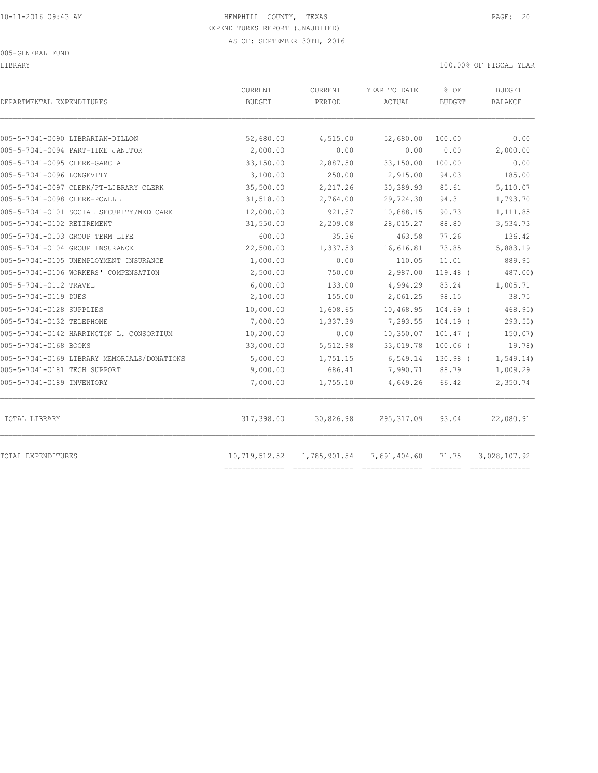#### 005-GENERAL FUND

#### LIBRARY 100.00% OF FISCAL YEAR

| DEPARTMENTAL EXPENDITURES                                             | CURRENT<br><b>BUDGET</b> | CURRENT<br>PERIOD | YEAR TO DATE<br>ACTUAL                    | % OF<br><b>BUDGET</b> | <b>BUDGET</b><br>BALANCE |
|-----------------------------------------------------------------------|--------------------------|-------------------|-------------------------------------------|-----------------------|--------------------------|
|                                                                       |                          |                   |                                           | 100.00                | 0.00                     |
| 005-5-7041-0090 LIBRARIAN-DILLON<br>005-5-7041-0094 PART-TIME JANITOR | 52,680.00<br>2,000.00    | 4,515.00<br>0.00  | 52,680.00<br>0.00                         | 0.00                  | 2,000.00                 |
| 005-5-7041-0095 CLERK-GARCIA                                          | 33,150.00                | 2,887.50          | 33,150.00                                 | 100.00                | 0.00                     |
| 005-5-7041-0096 LONGEVITY                                             | 3,100.00                 | 250.00            | 2,915.00                                  | 94.03                 | 185.00                   |
| 005-5-7041-0097 CLERK/PT-LIBRARY CLERK                                | 35,500.00                | 2,217.26          | 30,389.93                                 | 85.61                 | 5,110.07                 |
| 005-5-7041-0098 CLERK-POWELL                                          | 31,518.00                | 2,764.00          | 29,724.30                                 | 94.31                 | 1,793.70                 |
| 005-5-7041-0101 SOCIAL SECURITY/MEDICARE                              | 12,000.00                | 921.57            | 10,888.15                                 | 90.73                 | 1,111.85                 |
| 005-5-7041-0102 RETIREMENT                                            | 31,550.00                | 2,209.08          | 28,015.27                                 | 88.80                 | 3,534.73                 |
| 005-5-7041-0103 GROUP TERM LIFE                                       | 600.00                   | 35.36             | 463.58                                    | 77.26                 | 136.42                   |
| 005-5-7041-0104 GROUP INSURANCE                                       | 22,500.00                | 1,337.53          | 16,616.81                                 | 73.85                 | 5,883.19                 |
| 005-5-7041-0105 UNEMPLOYMENT INSURANCE                                | 1,000.00                 | 0.00              | 110.05                                    | 11.01                 | 889.95                   |
| 005-5-7041-0106 WORKERS' COMPENSATION                                 | 2,500.00                 | 750.00            | 2,987.00                                  | 119.48 (              | 487.00)                  |
| 005-5-7041-0112 TRAVEL                                                | 6,000.00                 | 133.00            | 4,994.29                                  | 83.24                 | 1,005.71                 |
| 005-5-7041-0119 DUES                                                  | 2,100.00                 | 155.00            | 2,061.25                                  | 98.15                 | 38.75                    |
| 005-5-7041-0128 SUPPLIES                                              | 10,000.00                | 1,608.65          | 10,468.95                                 | $104.69$ (            | 468.95                   |
| 005-5-7041-0132 TELEPHONE                                             | 7,000.00                 | 1,337.39          | 7,293.55                                  | $104.19$ (            | $293.55$ )               |
| 005-5-7041-0142 HARRINGTON L. CONSORTIUM                              | 10,200.00                | 0.00              | 10,350.07                                 | $101.47$ (            | 150.07                   |
| 005-5-7041-0168 BOOKS                                                 | 33,000.00                | 5,512.98          | 33,019.78                                 | $100.06$ (            | 19.78)                   |
| 005-5-7041-0169 LIBRARY MEMORIALS/DONATIONS                           | 5,000.00                 | 1,751.15          | 6,549.14                                  | 130.98 (              | 1, 549.14)               |
| 005-5-7041-0181 TECH SUPPORT                                          | 9,000.00                 | 686.41            | 7,990.71                                  | 88.79                 | 1,009.29                 |
| 005-5-7041-0189 INVENTORY                                             | 7,000.00                 | 1,755.10          | 4,649.26                                  | 66.42                 | 2,350.74                 |
| TOTAL LIBRARY                                                         | 317,398.00               | 30,826.98         | 295, 317.09                               | 93.04                 | 22,080.91                |
| TOTAL EXPENDITURES                                                    |                          |                   | 10,719,512.52  1,785,901.54  7,691,404.60 | 71.75                 | 3,028,107.92             |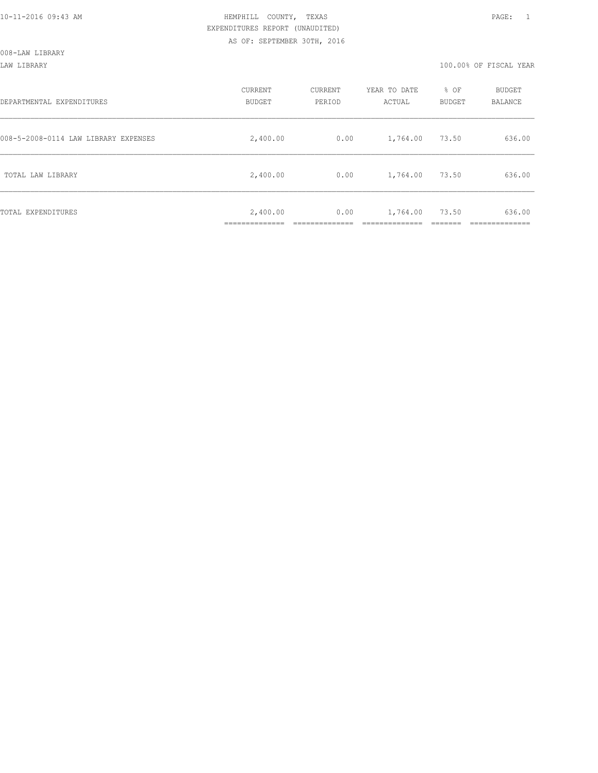LAW LIBRARY 100.00% OF FISCAL YEAR

| DEPARTMENTAL EXPENDITURES            | CURRENT<br><b>BUDGET</b> | CURRENT<br>PERIOD | YEAR TO DATE<br>ACTUAL | % OF<br>BUDGET | BUDGET<br>BALANCE |
|--------------------------------------|--------------------------|-------------------|------------------------|----------------|-------------------|
| 008-5-2008-0114 LAW LIBRARY EXPENSES | 2,400.00                 | 0.00              | 1,764.00               | 73.50          | 636.00            |
| TOTAL LAW LIBRARY                    | 2,400.00                 | 0.00              | 1,764.00               | 73.50          | 636.00            |
| TOTAL EXPENDITURES                   | 2,400.00                 | 0.00              | 1,764.00               | 73.50          | 636.00            |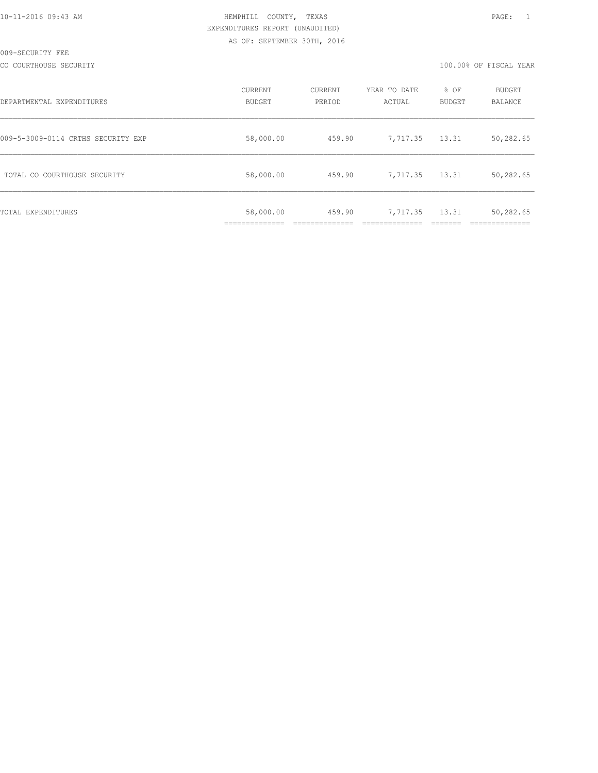CO COURTHOUSE SECURITY **100.000 OF FISCAL YEAR** 

| DEPARTMENTAL EXPENDITURES          | CURRENT<br>BUDGET                    | CURRENT<br>PERIOD | YEAR TO DATE<br>ACTUAL | % OF<br><b>BUDGET</b> | BUDGET<br>BALANCE |
|------------------------------------|--------------------------------------|-------------------|------------------------|-----------------------|-------------------|
| 009-5-3009-0114 CRTHS SECURITY EXP | 58,000.00                            | 459.90            | 7,717.35               | 13.31                 | 50,282.65         |
| TOTAL CO COURTHOUSE SECURITY       | 58,000.00                            | 459.90            | 7,717.35               | 13.31                 | 50,282.65         |
| <b>TOTAL EXPENDITURES</b>          | 58,000.00<br>. _ _ _ _ _ _ _ _ _ _ _ | 459.90            | 7,717.35               | 13.31                 | 50,282.65         |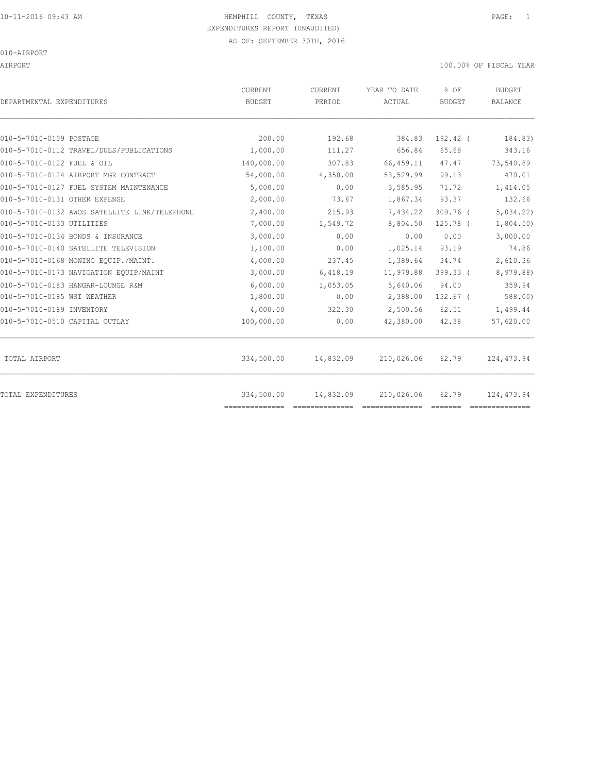AIRPORT 100.00% OF FISCAL YEAR

| DEPARTMENTAL EXPENDITURES                     | CURRENT<br><b>BUDGET</b>     | CURRENT<br>PERIOD | YEAR TO DATE<br>ACTUAL | % OF<br><b>BUDGET</b> | <b>BUDGET</b><br><b>BALANCE</b> |
|-----------------------------------------------|------------------------------|-------------------|------------------------|-----------------------|---------------------------------|
| 010-5-7010-0109 POSTAGE                       | 200.00                       | 192.68            | 384.83                 | 192.42 (              | 184.83)                         |
| 010-5-7010-0112 TRAVEL/DUES/PUBLICATIONS      | 1,000.00                     | 111.27            | 656.84                 | 65.68                 | 343.16                          |
| 010-5-7010-0122 FUEL & OIL                    | 140,000.00                   | 307.83            | 66, 459.11             | 47.47                 | 73,540.89                       |
| 010-5-7010-0124 AIRPORT MGR CONTRACT          | 54,000.00                    | 4,350.00          | 53,529.99              | 99.13                 | 470.01                          |
| 010-5-7010-0127 FUEL SYSTEM MAINTENANCE       | 5,000.00                     | 0.00              | 3,585.95               | 71.72                 | 1,414.05                        |
| 010-5-7010-0131 OTHER EXPENSE                 | 2,000.00                     | 73.67             | 1,867.34               | 93.37                 | 132.66                          |
| 010-5-7010-0132 AWOS SATELLITE LINK/TELEPHONE | 2,400.00                     | 215.93            | 7,434.22               | $309.76$ (            | 5,034.22                        |
| 010-5-7010-0133 UTILITIES                     | 7,000.00                     | 1,549.72          | 8,804.50               | 125.78 (              | 1,804.50                        |
| 010-5-7010-0134 BONDS & INSURANCE             | 3,000.00                     | 0.00              | 0.00                   | 0.00                  | 3,000.00                        |
| 010-5-7010-0140 SATELLITE TELEVISION          | 1,100.00                     | 0.00              | 1,025.14               | 93.19                 | 74.86                           |
| 010-5-7010-0168 MOWING EOUIP./MAINT.          | 4,000.00                     | 237.45            | 1,389.64               | 34.74                 | 2,610.36                        |
| 010-5-7010-0173 NAVIGATION EQUIP/MAINT        | 3,000.00                     | 6,418.19          | 11,979.88              | 399.33 (              | 8,979.88)                       |
| 010-5-7010-0183 HANGAR-LOUNGE R&M             | 6,000.00                     | 1,053.05          | 5,640.06               | 94.00                 | 359.94                          |
| 010-5-7010-0185 WSI WEATHER                   | 1,800.00                     | 0.00              | 2,388.00               | $132.67$ (            | 588.00                          |
| 010-5-7010-0189 INVENTORY                     | 4,000.00                     | 322.30            | 2,500.56               | 62.51                 | 1,499.44                        |
| 010-5-7010-0510 CAPITAL OUTLAY                | 100,000.00                   | 0.00              | 42,380.00              | 42.38                 | 57,620.00                       |
| TOTAL AIRPORT                                 | 334,500.00                   | 14,832.09         | 210,026.06             | 62.79                 | 124, 473.94                     |
| TOTAL EXPENDITURES                            | 334,500.00<br>============== | 14,832.09         | 210,026.06             | 62.79                 | 124,473.94                      |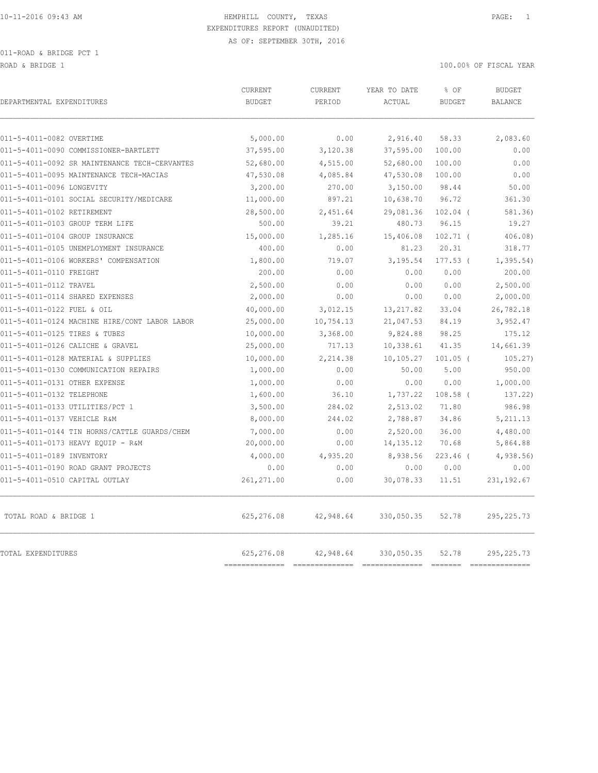ROAD & BRIDGE 1 100.00% OF FISCAL YEAR

| DEPARTMENTAL EXPENDITURES                     | CURRENT<br><b>BUDGET</b> | CURRENT<br>PERIOD | YEAR TO DATE<br>ACTUAL | % OF<br><b>BUDGET</b> | <b>BUDGET</b><br>BALANCE |
|-----------------------------------------------|--------------------------|-------------------|------------------------|-----------------------|--------------------------|
| 011-5-4011-0082 OVERTIME                      | 5,000.00                 | 0.00              | 2,916.40               | 58.33                 | 2,083.60                 |
| 011-5-4011-0090 COMMISSIONER-BARTLETT         | 37,595.00                | 3,120.38          | 37,595.00              | 100.00                | 0.00                     |
| 011-5-4011-0092 SR MAINTENANCE TECH-CERVANTES | 52,680.00                | 4,515.00          | 52,680.00              | 100.00                | 0.00                     |
| 011-5-4011-0095 MAINTENANCE TECH-MACIAS       | 47,530.08                | 4,085.84          | 47,530.08              | 100.00                | 0.00                     |
| 011-5-4011-0096 LONGEVITY                     | 3,200.00                 | 270.00            | 3,150.00               | 98.44                 | 50.00                    |
| 011-5-4011-0101 SOCIAL SECURITY/MEDICARE      | 11,000.00                | 897.21            | 10,638.70              | 96.72                 | 361.30                   |
| 011-5-4011-0102 RETIREMENT                    | 28,500.00                | 2,451.64          | 29,081.36              | $102.04$ (            | 581.36)                  |
| 011-5-4011-0103 GROUP TERM LIFE               | 500.00                   | 39.21             | 480.73                 | 96.15                 | 19.27                    |
| 011-5-4011-0104 GROUP INSURANCE               | 15,000.00                | 1,285.16          | 15,406.08              | $102.71$ (            | 406.08                   |
| 011-5-4011-0105 UNEMPLOYMENT INSURANCE        | 400.00                   | 0.00              | 81.23                  | 20.31                 | 318.77                   |
| 011-5-4011-0106 WORKERS' COMPENSATION         | 1,800.00                 | 719.07            | 3,195.54               | $177.53$ (            | 1, 395.54)               |
| 011-5-4011-0110 FREIGHT                       | 200.00                   | 0.00              | 0.00                   | 0.00                  | 200.00                   |
| 011-5-4011-0112 TRAVEL                        | 2,500.00                 | 0.00              | 0.00                   | 0.00                  | 2,500.00                 |
| 011-5-4011-0114 SHARED EXPENSES               | 2,000.00                 | 0.00              | 0.00                   | 0.00                  | 2,000.00                 |
| 011-5-4011-0122 FUEL & OIL                    | 40,000.00                | 3,012.15          | 13, 217.82             | 33.04                 | 26,782.18                |
| 011-5-4011-0124 MACHINE HIRE/CONT LABOR LABOR | 25,000.00                | 10,754.13         | 21,047.53              | 84.19                 | 3,952.47                 |
| 011-5-4011-0125 TIRES & TUBES                 | 10,000.00                | 3,368.00          | 9,824.88               | 98.25                 | 175.12                   |
| 011-5-4011-0126 CALICHE & GRAVEL              | 25,000.00                | 717.13            | 10,338.61              | 41.35                 | 14,661.39                |
| 011-5-4011-0128 MATERIAL & SUPPLIES           | 10,000.00                | 2,214.38          | 10,105.27              | $101.05$ (            | 105.27                   |
| 011-5-4011-0130 COMMUNICATION REPAIRS         | 1,000.00                 | 0.00              | 50.00                  | 5.00                  | 950.00                   |
| 011-5-4011-0131 OTHER EXPENSE                 | 1,000.00                 | 0.00              | 0.00                   | 0.00                  | 1,000.00                 |
| 011-5-4011-0132 TELEPHONE                     | 1,600.00                 | 36.10             | 1,737.22               | $108.58$ (            | 137.22)                  |
| 011-5-4011-0133 UTILITIES/PCT 1               | 3,500.00                 | 284.02            | 2,513.02               | 71.80                 | 986.98                   |
| 011-5-4011-0137 VEHICLE R&M                   | 8,000.00                 | 244.02            | 2,788.87               | 34.86                 | 5,211.13                 |
| 011-5-4011-0144 TIN HORNS/CATTLE GUARDS/CHEM  | 7,000.00                 | 0.00              | 2,520.00               | 36.00                 | 4,480.00                 |
| 011-5-4011-0173 HEAVY EQUIP - R&M             | 20,000.00                | 0.00              | 14, 135. 12            | 70.68                 | 5,864.88                 |
| 011-5-4011-0189 INVENTORY                     | 4,000.00                 | 4,935.20          | 8,938.56               | $223.46$ (            | 4,938.56                 |
| 011-5-4011-0190 ROAD GRANT PROJECTS           | 0.00                     | 0.00              | 0.00                   | 0.00                  | 0.00                     |
| 011-5-4011-0510 CAPITAL OUTLAY                | 261, 271.00              | 0.00              | 30,078.33              | 11.51                 | 231, 192.67              |
| TOTAL ROAD & BRIDGE 1                         | 625,276.08               | 42,948.64         | 330,050.35             | 52.78                 | 295, 225.73              |
| TOTAL EXPENDITURES                            | 625,276.08<br>========   | 42,948.64         | 330,050.35             | 52.78                 | 295, 225.73              |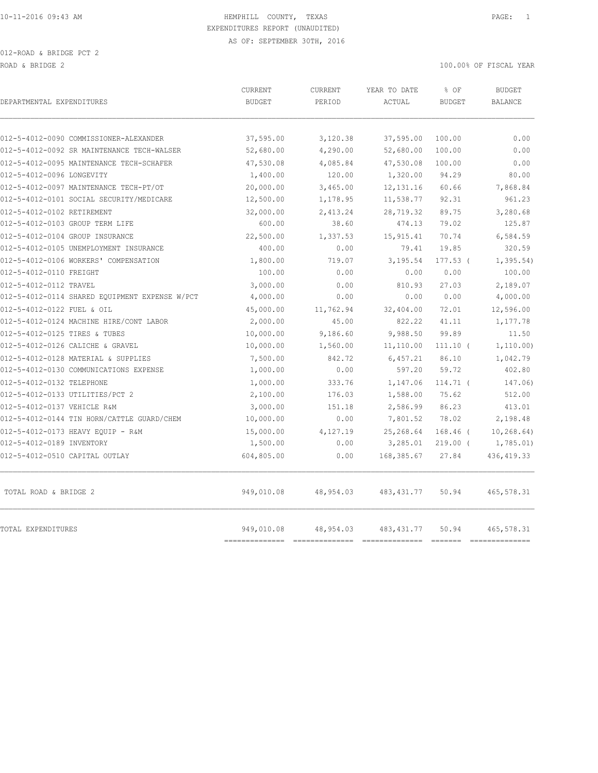| 012-5-4012-0090 COMMISSIONER-ALEXANDER<br>37,595.00<br>3,120.38<br>37,595.00<br>100.00<br>100.00<br>012-5-4012-0092 SR MAINTENANCE TECH-WALSER<br>52,680.00<br>4,290.00<br>52,680.00<br>012-5-4012-0095 MAINTENANCE TECH-SCHAFER<br>47,530.08<br>4,085.84<br>47,530.08<br>100.00<br>120.00<br>1,320.00<br>94.29<br>80.00<br>1,400.00<br>7,868.84<br>20,000.00<br>3,465.00<br>12, 131.16<br>60.66<br>012-5-4012-0101 SOCIAL SECURITY/MEDICARE<br>11,538.77<br>92.31<br>961.23<br>12,500.00<br>1,178.95<br>32,000.00<br>28,719.32<br>89.75<br>3,280.68<br>2,413.24<br>125.87<br>012-5-4012-0103 GROUP TERM LIFE<br>600.00<br>38.60<br>474.13<br>79.02<br>22,500.00<br>1,337.53<br>15, 915.41<br>70.74<br>6,584.59<br>400.00<br>0.00<br>320.59<br>79.41<br>19.85<br>1,800.00<br>3,195.54<br>$177.53$ (<br>1, 395.54<br>719.07<br>100.00<br>0.00<br>0.00<br>0.00<br>2,189.07<br>3,000.00<br>0.00<br>810.93<br>27.03<br>4,000.00<br>0.00<br>0.00<br>0.00<br>45,000.00<br>32,404.00<br>72.01<br>12,596.00<br>11,762.94<br>822.22<br>2,000.00<br>45.00<br>41.11<br>10,000.00<br>9,988.50<br>99.89<br>9,186.60<br>10,000.00<br>1,560.00<br>11,110.00<br>$111.10$ (<br>7,500.00<br>842.72<br>6,457.21<br>86.10<br>0.00<br>597.20<br>1,000.00<br>59.72<br>1,000.00<br>333.76<br>1,147.06<br>$114.71$ (<br>2,100.00<br>176.03<br>1,588.00<br>75.62<br>3,000.00<br>2,586.99<br>86.23<br>151.18<br>10,000.00<br>0.00<br>7,801.52<br>78.02<br>25,268.64<br>$168.46$ (<br>15,000.00<br>4,127.19<br>0.00<br>3,285.01<br>1,500.00<br>$219.00$ (<br>012-5-4012-0510 CAPITAL OUTLAY<br>604,805.00<br>0.00<br>168,385.67<br>27.84<br>949,010.08<br>TOTAL ROAD & BRIDGE 2<br>48,954.03<br>483, 431.77<br>50.94<br>949,010.08<br>48,954.03<br>483, 431.77<br>50.94 | DEPARTMENTAL EXPENDITURES | <b>CURRENT</b><br><b>BUDGET</b> | <b>CURRENT</b><br>PERIOD | YEAR TO DATE<br>ACTUAL | % OF<br><b>BUDGET</b> | <b>BUDGET</b><br><b>BALANCE</b> |
|----------------------------------------------------------------------------------------------------------------------------------------------------------------------------------------------------------------------------------------------------------------------------------------------------------------------------------------------------------------------------------------------------------------------------------------------------------------------------------------------------------------------------------------------------------------------------------------------------------------------------------------------------------------------------------------------------------------------------------------------------------------------------------------------------------------------------------------------------------------------------------------------------------------------------------------------------------------------------------------------------------------------------------------------------------------------------------------------------------------------------------------------------------------------------------------------------------------------------------------------------------------------------------------------------------------------------------------------------------------------------------------------------------------------------------------------------------------------------------------------------------------------------------------------------------------------------------------------------------------------------------------------------------------------------------------------------------------------------------------------|---------------------------|---------------------------------|--------------------------|------------------------|-----------------------|---------------------------------|
|                                                                                                                                                                                                                                                                                                                                                                                                                                                                                                                                                                                                                                                                                                                                                                                                                                                                                                                                                                                                                                                                                                                                                                                                                                                                                                                                                                                                                                                                                                                                                                                                                                                                                                                                              |                           |                                 |                          |                        |                       |                                 |
|                                                                                                                                                                                                                                                                                                                                                                                                                                                                                                                                                                                                                                                                                                                                                                                                                                                                                                                                                                                                                                                                                                                                                                                                                                                                                                                                                                                                                                                                                                                                                                                                                                                                                                                                              |                           |                                 |                          |                        |                       | 0.00                            |
| 012-5-4012-0096 LONGEVITY<br>012-5-4012-0097 MAINTENANCE TECH-PT/OT<br>012-5-4012-0102 RETIREMENT<br>012-5-4012-0104 GROUP INSURANCE<br>012-5-4012-0105 UNEMPLOYMENT INSURANCE<br>012-5-4012-0106 WORKERS' COMPENSATION<br>012-5-4012-0110 FREIGHT<br>012-5-4012-0112 TRAVEL<br>012-5-4012-0114 SHARED EQUIPMENT EXPENSE W/PCT<br>012-5-4012-0122 FUEL & OIL<br>012-5-4012-0124 MACHINE HIRE/CONT LABOR<br>012-5-4012-0125 TIRES & TUBES<br>012-5-4012-0126 CALICHE & GRAVEL<br>012-5-4012-0128 MATERIAL & SUPPLIES<br>012-5-4012-0130 COMMUNICATIONS EXPENSE<br>012-5-4012-0132 TELEPHONE<br>012-5-4012-0133 UTILITIES/PCT 2<br>012-5-4012-0137 VEHICLE R&M<br>012-5-4012-0144 TIN HORN/CATTLE GUARD/CHEM<br>012-5-4012-0173 HEAVY EOUIP - R&M<br>012-5-4012-0189 INVENTORY<br>TOTAL EXPENDITURES                                                                                                                                                                                                                                                                                                                                                                                                                                                                                                                                                                                                                                                                                                                                                                                                                                                                                                                                           |                           |                                 |                          |                        |                       | 0.00                            |
|                                                                                                                                                                                                                                                                                                                                                                                                                                                                                                                                                                                                                                                                                                                                                                                                                                                                                                                                                                                                                                                                                                                                                                                                                                                                                                                                                                                                                                                                                                                                                                                                                                                                                                                                              |                           |                                 |                          |                        |                       | 0.00                            |
|                                                                                                                                                                                                                                                                                                                                                                                                                                                                                                                                                                                                                                                                                                                                                                                                                                                                                                                                                                                                                                                                                                                                                                                                                                                                                                                                                                                                                                                                                                                                                                                                                                                                                                                                              |                           |                                 |                          |                        |                       |                                 |
|                                                                                                                                                                                                                                                                                                                                                                                                                                                                                                                                                                                                                                                                                                                                                                                                                                                                                                                                                                                                                                                                                                                                                                                                                                                                                                                                                                                                                                                                                                                                                                                                                                                                                                                                              |                           |                                 |                          |                        |                       |                                 |
|                                                                                                                                                                                                                                                                                                                                                                                                                                                                                                                                                                                                                                                                                                                                                                                                                                                                                                                                                                                                                                                                                                                                                                                                                                                                                                                                                                                                                                                                                                                                                                                                                                                                                                                                              |                           |                                 |                          |                        |                       |                                 |
|                                                                                                                                                                                                                                                                                                                                                                                                                                                                                                                                                                                                                                                                                                                                                                                                                                                                                                                                                                                                                                                                                                                                                                                                                                                                                                                                                                                                                                                                                                                                                                                                                                                                                                                                              |                           |                                 |                          |                        |                       |                                 |
|                                                                                                                                                                                                                                                                                                                                                                                                                                                                                                                                                                                                                                                                                                                                                                                                                                                                                                                                                                                                                                                                                                                                                                                                                                                                                                                                                                                                                                                                                                                                                                                                                                                                                                                                              |                           |                                 |                          |                        |                       |                                 |
|                                                                                                                                                                                                                                                                                                                                                                                                                                                                                                                                                                                                                                                                                                                                                                                                                                                                                                                                                                                                                                                                                                                                                                                                                                                                                                                                                                                                                                                                                                                                                                                                                                                                                                                                              |                           |                                 |                          |                        |                       |                                 |
|                                                                                                                                                                                                                                                                                                                                                                                                                                                                                                                                                                                                                                                                                                                                                                                                                                                                                                                                                                                                                                                                                                                                                                                                                                                                                                                                                                                                                                                                                                                                                                                                                                                                                                                                              |                           |                                 |                          |                        |                       |                                 |
|                                                                                                                                                                                                                                                                                                                                                                                                                                                                                                                                                                                                                                                                                                                                                                                                                                                                                                                                                                                                                                                                                                                                                                                                                                                                                                                                                                                                                                                                                                                                                                                                                                                                                                                                              |                           |                                 |                          |                        |                       | 100.00                          |
|                                                                                                                                                                                                                                                                                                                                                                                                                                                                                                                                                                                                                                                                                                                                                                                                                                                                                                                                                                                                                                                                                                                                                                                                                                                                                                                                                                                                                                                                                                                                                                                                                                                                                                                                              |                           |                                 |                          |                        |                       |                                 |
|                                                                                                                                                                                                                                                                                                                                                                                                                                                                                                                                                                                                                                                                                                                                                                                                                                                                                                                                                                                                                                                                                                                                                                                                                                                                                                                                                                                                                                                                                                                                                                                                                                                                                                                                              |                           |                                 |                          |                        |                       | 4,000.00                        |
|                                                                                                                                                                                                                                                                                                                                                                                                                                                                                                                                                                                                                                                                                                                                                                                                                                                                                                                                                                                                                                                                                                                                                                                                                                                                                                                                                                                                                                                                                                                                                                                                                                                                                                                                              |                           |                                 |                          |                        |                       |                                 |
|                                                                                                                                                                                                                                                                                                                                                                                                                                                                                                                                                                                                                                                                                                                                                                                                                                                                                                                                                                                                                                                                                                                                                                                                                                                                                                                                                                                                                                                                                                                                                                                                                                                                                                                                              |                           |                                 |                          |                        |                       | 1,177.78                        |
|                                                                                                                                                                                                                                                                                                                                                                                                                                                                                                                                                                                                                                                                                                                                                                                                                                                                                                                                                                                                                                                                                                                                                                                                                                                                                                                                                                                                                                                                                                                                                                                                                                                                                                                                              |                           |                                 |                          |                        |                       | 11.50                           |
|                                                                                                                                                                                                                                                                                                                                                                                                                                                                                                                                                                                                                                                                                                                                                                                                                                                                                                                                                                                                                                                                                                                                                                                                                                                                                                                                                                                                                                                                                                                                                                                                                                                                                                                                              |                           |                                 |                          |                        |                       | 1, 110.00)                      |
|                                                                                                                                                                                                                                                                                                                                                                                                                                                                                                                                                                                                                                                                                                                                                                                                                                                                                                                                                                                                                                                                                                                                                                                                                                                                                                                                                                                                                                                                                                                                                                                                                                                                                                                                              |                           |                                 |                          |                        |                       | 1,042.79                        |
|                                                                                                                                                                                                                                                                                                                                                                                                                                                                                                                                                                                                                                                                                                                                                                                                                                                                                                                                                                                                                                                                                                                                                                                                                                                                                                                                                                                                                                                                                                                                                                                                                                                                                                                                              |                           |                                 |                          |                        |                       | 402.80                          |
|                                                                                                                                                                                                                                                                                                                                                                                                                                                                                                                                                                                                                                                                                                                                                                                                                                                                                                                                                                                                                                                                                                                                                                                                                                                                                                                                                                                                                                                                                                                                                                                                                                                                                                                                              |                           |                                 |                          |                        |                       | 147.06)                         |
|                                                                                                                                                                                                                                                                                                                                                                                                                                                                                                                                                                                                                                                                                                                                                                                                                                                                                                                                                                                                                                                                                                                                                                                                                                                                                                                                                                                                                                                                                                                                                                                                                                                                                                                                              |                           |                                 |                          |                        |                       | 512.00                          |
|                                                                                                                                                                                                                                                                                                                                                                                                                                                                                                                                                                                                                                                                                                                                                                                                                                                                                                                                                                                                                                                                                                                                                                                                                                                                                                                                                                                                                                                                                                                                                                                                                                                                                                                                              |                           |                                 |                          |                        |                       | 413.01                          |
|                                                                                                                                                                                                                                                                                                                                                                                                                                                                                                                                                                                                                                                                                                                                                                                                                                                                                                                                                                                                                                                                                                                                                                                                                                                                                                                                                                                                                                                                                                                                                                                                                                                                                                                                              |                           |                                 |                          |                        |                       | 2,198.48                        |
|                                                                                                                                                                                                                                                                                                                                                                                                                                                                                                                                                                                                                                                                                                                                                                                                                                                                                                                                                                                                                                                                                                                                                                                                                                                                                                                                                                                                                                                                                                                                                                                                                                                                                                                                              |                           |                                 |                          |                        |                       | 10, 268.64)                     |
|                                                                                                                                                                                                                                                                                                                                                                                                                                                                                                                                                                                                                                                                                                                                                                                                                                                                                                                                                                                                                                                                                                                                                                                                                                                                                                                                                                                                                                                                                                                                                                                                                                                                                                                                              |                           |                                 |                          |                        |                       | 1,785.01)                       |
|                                                                                                                                                                                                                                                                                                                                                                                                                                                                                                                                                                                                                                                                                                                                                                                                                                                                                                                                                                                                                                                                                                                                                                                                                                                                                                                                                                                                                                                                                                                                                                                                                                                                                                                                              |                           |                                 |                          |                        |                       | 436, 419.33                     |
|                                                                                                                                                                                                                                                                                                                                                                                                                                                                                                                                                                                                                                                                                                                                                                                                                                                                                                                                                                                                                                                                                                                                                                                                                                                                                                                                                                                                                                                                                                                                                                                                                                                                                                                                              |                           |                                 |                          |                        |                       | 465,578.31                      |
| ----------------------<br>===========<br>--------------<br>----------------                                                                                                                                                                                                                                                                                                                                                                                                                                                                                                                                                                                                                                                                                                                                                                                                                                                                                                                                                                                                                                                                                                                                                                                                                                                                                                                                                                                                                                                                                                                                                                                                                                                                  |                           |                                 |                          |                        |                       | 465,578.31                      |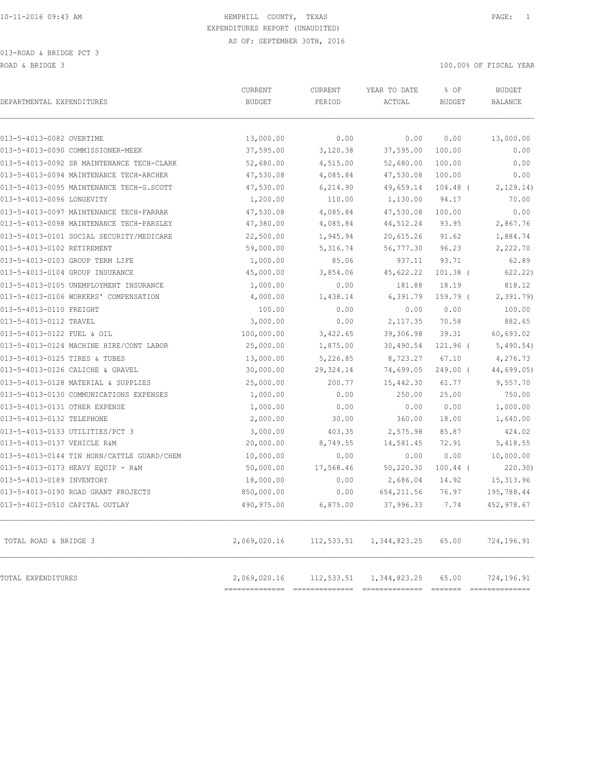| DEPARTMENTAL EXPENDITURES                  | CURRENT<br><b>BUDGET</b>       | <b>CURRENT</b><br>PERIOD                      | YEAR TO DATE<br>ACTUAL | % OF<br><b>BUDGET</b> | <b>BUDGET</b><br><b>BALANCE</b> |
|--------------------------------------------|--------------------------------|-----------------------------------------------|------------------------|-----------------------|---------------------------------|
| 013-5-4013-0082 OVERTIME                   | 13,000.00                      | 0.00                                          | 0.00                   | 0.00                  | 13,000.00                       |
| 013-5-4013-0090 COMMISSIONER-MEEK          | 37,595.00                      | 3,120.38                                      | 37,595.00              | 100.00                | 0.00                            |
| 013-5-4013-0092 SR MAINTENANCE TECH-CLARK  | 52,680.00                      | 4,515.00                                      | 52,680.00              | 100.00                | 0.00                            |
| 013-5-4013-0094 MAINTENANCE TECH-ARCHER    | 47,530.08                      | 4,085.84                                      | 47,530.08              | 100.00                | 0.00                            |
| 013-5-4013-0095 MAINTENANCE TECH-G.SCOTT   | 47,530.00                      | 6,214.90                                      | 49,659.14              | $104.48$ (            | 2, 129.14)                      |
| 013-5-4013-0096 LONGEVITY                  | 1,200.00                       | 110.00                                        | 1,130.00               | 94.17                 | 70.00                           |
| 013-5-4013-0097 MAINTENANCE TECH-FARRAR    | 47,530.08                      | 4,085.84                                      | 47,530.08              | 100.00                | 0.00                            |
| 013-5-4013-0098 MAINTENANCE TECH-PARSLEY   | 47,380.00                      | 4,085.84                                      | 44,512.24              | 93.95                 | 2,867.76                        |
| 013-5-4013-0101 SOCIAL SECURITY/MEDICARE   | 22,500.00                      | 1,945.94                                      | 20,615.26              | 91.62                 | 1,884.74                        |
| 013-5-4013-0102 RETIREMENT                 | 59,000.00                      | 5,316.74                                      | 56,777.30              | 96.23                 | 2,222.70                        |
| 013-5-4013-0103 GROUP TERM LIFE            | 1,000.00                       | 85.06                                         | 937.11                 | 93.71                 | 62.89                           |
| 013-5-4013-0104 GROUP INSURANCE            | 45,000.00                      | 3,854.06                                      | 45,622.22              | $101.38$ (            | 622.22)                         |
| 013-5-4013-0105 UNEMPLOYMENT INSURANCE     | 1,000.00                       | 0.00                                          | 181.88                 | 18.19                 | 818.12                          |
| 013-5-4013-0106 WORKERS' COMPENSATION      | 4,000.00                       | 1,438.14                                      | 6,391.79               | $159.79$ (            | 2,391.79                        |
| 013-5-4013-0110 FREIGHT                    | 100.00                         | 0.00                                          | 0.00                   | 0.00                  | 100.00                          |
| 013-5-4013-0112 TRAVEL                     | 3,000.00                       | 0.00                                          | 2, 117.35              | 70.58                 | 882.65                          |
| 013-5-4013-0122 FUEL & OIL                 | 100,000.00                     | 3,422.65                                      | 39,306.98              | 39.31                 | 60,693.02                       |
| 013-5-4013-0124 MACHINE HIRE/CONT LABOR    | 25,000.00                      | 1,875.00                                      | 30,490.54              | $121.96$ (            | 5,490.54)                       |
| 013-5-4013-0125 TIRES & TUBES              | 13,000.00                      | 5,226.85                                      | 8,723.27               | 67.10                 | 4,276.73                        |
| 013-5-4013-0126 CALICHE & GRAVEL           | 30,000.00                      | 29,324.14                                     | 74,699.05              | 249.00 (              | 44,699.05)                      |
| 013-5-4013-0128 MATERIAL & SUPPLIES        | 25,000.00                      | 200.77                                        | 15,442.30              | 61.77                 | 9,557.70                        |
| 013-5-4013-0130 COMMUNICATIONS EXPENSES    | 1,000.00                       | 0.00                                          | 250.00                 | 25.00                 | 750.00                          |
| 013-5-4013-0131 OTHER EXPENSE              | 1,000.00                       | 0.00                                          | 0.00                   | 0.00                  | 1,000.00                        |
| 013-5-4013-0132 TELEPHONE                  | 2,000.00                       | 30.00                                         | 360.00                 | 18.00                 | 1,640.00                        |
| 013-5-4013-0133 UTILITIES/PCT 3            | 3,000.00                       | 403.35                                        | 2,575.98               | 85.87                 | 424.02                          |
| 013-5-4013-0137 VEHICLE R&M                | 20,000.00                      | 8,749.55                                      | 14,581.45              | 72.91                 | 5,418.55                        |
| 013-5-4013-0144 TIN HORN/CATTLE GUARD/CHEM | 10,000.00                      | 0.00                                          | 0.00                   | 0.00                  | 10,000.00                       |
| 013-5-4013-0173 HEAVY EQUIP - R&M          | 50,000.00                      | 17,568.46                                     | 50, 220.30             | $100.44$ (            | 220.30)                         |
| 013-5-4013-0189 INVENTORY                  | 18,000.00                      | 0.00                                          | 2,686.04               | 14.92                 | 15, 313.96                      |
| 013-5-4013-0190 ROAD GRANT PROJECTS        | 850,000.00                     | 0.00                                          | 654, 211.56            | 76.97                 | 195,788.44                      |
| 013-5-4013-0510 CAPITAL OUTLAY             | 490,975.00                     | 6,875.00                                      | 37,996.33              | 7.74                  | 452,978.67                      |
| TOTAL ROAD & BRIDGE 3                      | 2,069,020.16                   | 112,533.51                                    | 1,344,823.25           | 65.00                 | 724,196.91                      |
| TOTAL EXPENDITURES                         | 2,069,020.16<br>============== | 112,533.51<br>=============================== | 1,344,823.25           | 65.00<br>FEEEEE       | 724,196.91<br>--------------    |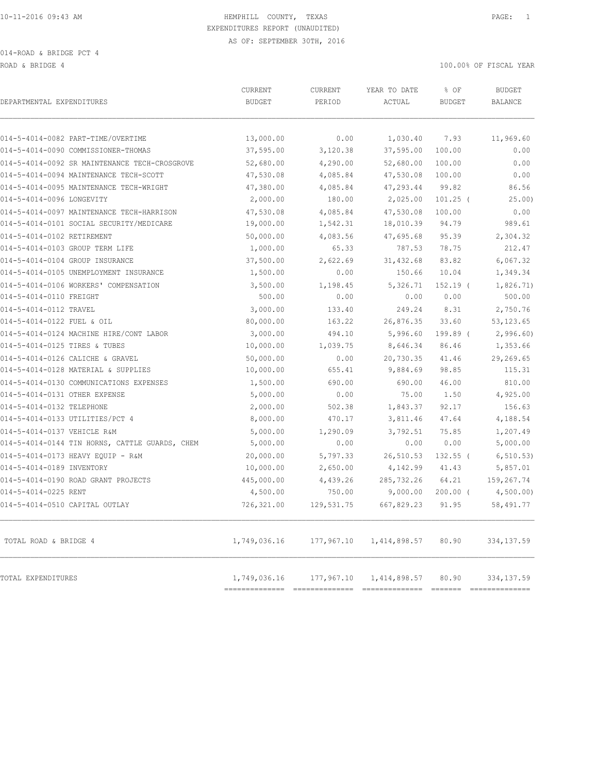ROAD & BRIDGE 4 100.00% OF FISCAL YEAR

| DEPARTMENTAL EXPENDITURES                      | CURRENT<br><b>BUDGET</b> | CURRENT<br>PERIOD | YEAR TO DATE<br>ACTUAL | % OF<br><b>BUDGET</b> | <b>BUDGET</b><br>BALANCE      |
|------------------------------------------------|--------------------------|-------------------|------------------------|-----------------------|-------------------------------|
| 014-5-4014-0082 PART-TIME/OVERTIME             | 13,000.00                | 0.00              | 1,030.40               | 7.93                  | 11,969.60                     |
| 014-5-4014-0090 COMMISSIONER-THOMAS            | 37,595.00                | 3,120.38          | 37,595.00              | 100.00                | 0.00                          |
| 014-5-4014-0092 SR MAINTENANCE TECH-CROSGROVE  | 52,680.00                | 4,290.00          | 52,680.00              | 100.00                | 0.00                          |
| 014-5-4014-0094 MAINTENANCE TECH-SCOTT         | 47,530.08                | 4,085.84          | 47,530.08              | 100.00                | 0.00                          |
| 014-5-4014-0095 MAINTENANCE TECH-WRIGHT        | 47,380.00                | 4,085.84          | 47,293.44              | 99.82                 | 86.56                         |
| 014-5-4014-0096 LONGEVITY                      | 2,000.00                 | 180.00            | 2,025.00               | $101.25$ (            | 25.00)                        |
| 014-5-4014-0097 MAINTENANCE TECH-HARRISON      | 47,530.08                | 4,085.84          | 47,530.08              | 100.00                | 0.00                          |
| 014-5-4014-0101 SOCIAL SECURITY/MEDICARE       | 19,000.00                | 1,542.31          | 18,010.39              | 94.79                 | 989.61                        |
| 014-5-4014-0102 RETIREMENT                     | 50,000.00                | 4,083.56          | 47,695.68              | 95.39                 | 2,304.32                      |
| 014-5-4014-0103 GROUP TERM LIFE                | 1,000.00                 | 65.33             | 787.53                 | 78.75                 | 212.47                        |
| 014-5-4014-0104 GROUP INSURANCE                | 37,500.00                | 2,622.69          | 31, 432.68             | 83.82                 | 6,067.32                      |
| 014-5-4014-0105 UNEMPLOYMENT INSURANCE         | 1,500.00                 | 0.00              | 150.66                 | 10.04                 | 1,349.34                      |
| 014-5-4014-0106 WORKERS' COMPENSATION          | 3,500.00                 | 1,198.45          | 5,326.71               | $152.19$ (            | 1,826.71)                     |
| 014-5-4014-0110 FREIGHT                        | 500.00                   | 0.00              | 0.00                   | 0.00                  | 500.00                        |
| 014-5-4014-0112 TRAVEL                         | 3,000.00                 | 133.40            | 249.24                 | 8.31                  | 2,750.76                      |
| 014-5-4014-0122 FUEL & OIL                     | 80,000.00                | 163.22            | 26,876.35              | 33.60                 | 53, 123.65                    |
| 014-5-4014-0124 MACHINE HIRE/CONT LABOR        | 3,000.00                 | 494.10            | 5,996.60               | 199.89 (              | 2,996.60                      |
| 014-5-4014-0125 TIRES & TUBES                  | 10,000.00                | 1,039.75          | 8,646.34               | 86.46                 | 1,353.66                      |
| 014-5-4014-0126 CALICHE & GRAVEL               | 50,000.00                | 0.00              | 20,730.35              | 41.46                 | 29,269.65                     |
| 014-5-4014-0128 MATERIAL & SUPPLIES            | 10,000.00                | 655.41            | 9,884.69               | 98.85                 | 115.31                        |
| 014-5-4014-0130 COMMUNICATIONS EXPENSES        | 1,500.00                 | 690.00            | 690.00                 | 46.00                 | 810.00                        |
| 014-5-4014-0131 OTHER EXPENSE                  | 5,000.00                 | 0.00              | 75.00                  | 1.50                  | 4,925.00                      |
| 014-5-4014-0132 TELEPHONE                      | 2,000.00                 | 502.38            | 1,843.37               | 92.17                 | 156.63                        |
| 014-5-4014-0133 UTILITIES/PCT 4                | 8,000.00                 | 470.17            | 3,811.46               | 47.64                 | 4,188.54                      |
| 014-5-4014-0137 VEHICLE R&M                    | 5,000.00                 | 1,290.09          | 3,792.51               | 75.85                 | 1,207.49                      |
| 014-5-4014-0144 TIN HORNS, CATTLE GUARDS, CHEM | 5,000.00                 | 0.00              | 0.00                   | 0.00                  | 5,000.00                      |
| 014-5-4014-0173 HEAVY EQUIP - R&M              | 20,000.00                | 5,797.33          | 26,510.53              | $132.55$ (            | 6, 510.53)                    |
| 014-5-4014-0189 INVENTORY                      | 10,000.00                | 2,650.00          | 4,142.99               | 41.43                 | 5,857.01                      |
| 014-5-4014-0190 ROAD GRANT PROJECTS            | 445,000.00               | 4,439.26          | 285,732.26             | 64.21                 | 159,267.74                    |
| 014-5-4014-0225 RENT                           | 4,500.00                 | 750.00            | 9,000.00               | $200.00$ (            | 4,500.00)                     |
| 014-5-4014-0510 CAPITAL OUTLAY                 | 726,321.00               | 129,531.75        | 667,829.23             | 91.95                 | 58,491.77                     |
| TOTAL ROAD & BRIDGE 4                          | 1,749,036.16             | 177,967.10        | 1,414,898.57           | 80.90                 | 334,137.59                    |
| TOTAL EXPENDITURES                             | 1,749,036.16             | 177,967.10        | 1,414,898.57           | 80.90                 | 334, 137.59<br>============== |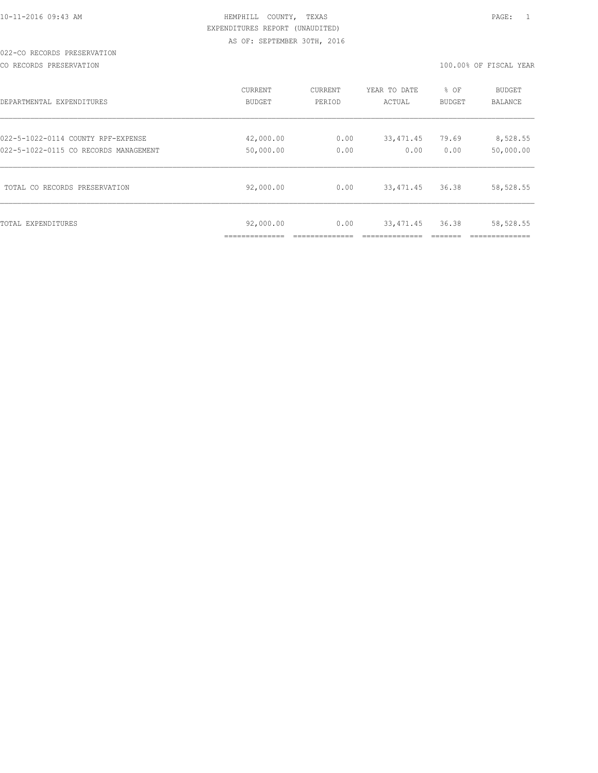### 022-CO RECORDS PRESERVATION

CO RECORDS PRESERVATION 100.00% OF FISCAL YEAR

| DEPARTMENTAL EXPENDITURES             | <b>CURRENT</b> | <b>CURRENT</b> | YEAR TO DATE | % OF          | <b>BUDGET</b>  |
|---------------------------------------|----------------|----------------|--------------|---------------|----------------|
|                                       | <b>BUDGET</b>  | PERIOD         | ACTUAL       | <b>BUDGET</b> | <b>BALANCE</b> |
| 022-5-1022-0114 COUNTY RPF-EXPENSE    | 42,000.00      | 0.00           | 33,471.45    | 79.69         | 8,528.55       |
| 022-5-1022-0115 CO RECORDS MANAGEMENT | 50,000.00      | 0.00           | 0.00         | 0.00          | 50,000.00      |
| TOTAL CO RECORDS PRESERVATION         | 92,000.00      | 0.00           | 33, 471.45   | 36.38         | 58,528.55      |
| TOTAL EXPENDITURES                    | 92,000.00      | 0.00           | 33, 471.45   | 36.38         | 58,528.55      |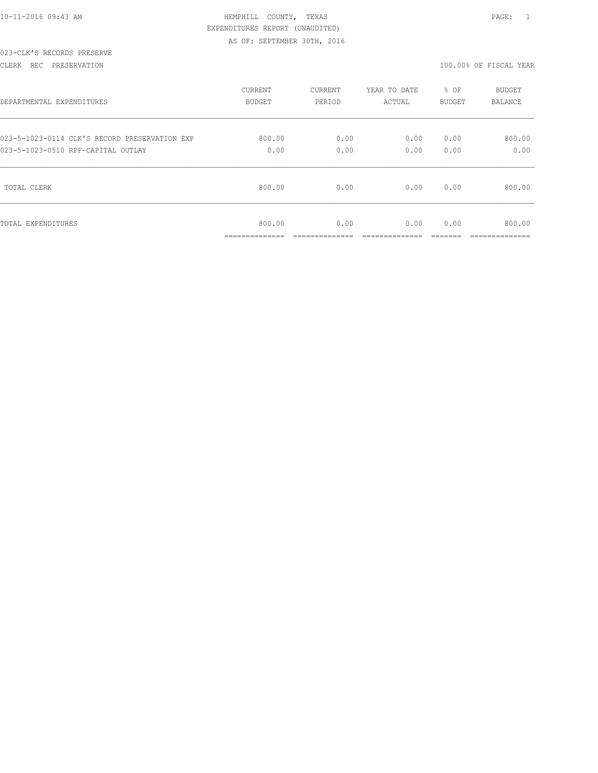### CLERK REC PRESERVATION 100.00% OF FISCAL YEAR

| DEPARTMENTAL EXPENDITURES                     | <b>CURRENT</b>                            | CURRENT              | YEAR TO DATE | % OF   | BUDGET                    |
|-----------------------------------------------|-------------------------------------------|----------------------|--------------|--------|---------------------------|
|                                               | <b>BUDGET</b>                             | PERIOD               | ACTUAL       | BUDGET | <b>BALANCE</b>            |
| 023-5-1023-0114 CLK'S RECORD PRESERVATION EXP | 800.00                                    | 0.00                 | 0.00         | 0.00   | 800.00                    |
| 023-5-1023-0510 RPF-CAPITAL OUTLAY            | 0.00                                      | 0.00                 | 0.00         | 0.00   | 0.00                      |
| TOTAL CLERK                                   | 800.00                                    | 0.00                 | 0.00         | 0.00   | 800.00                    |
| TOTAL EXPENDITURES                            | 800.00<br>_____________<br>______________ | 0.00<br>____________ | 0.00         | 0.00   | 800.00<br>--------------- |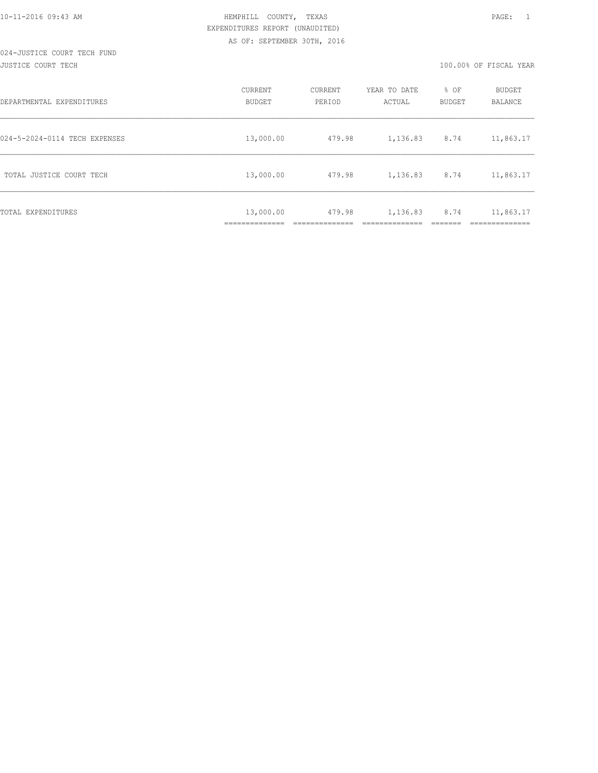#### JUSTICE COURT TECH 100.00% OF FISCAL YEAR

| DEPARTMENTAL EXPENDITURES     | CURRENT<br><b>BUDGET</b>                      | CURRENT<br>PERIOD | YEAR TO DATE<br>ACTUAL | % OF<br>BUDGET | BUDGET<br><b>BALANCE</b> |
|-------------------------------|-----------------------------------------------|-------------------|------------------------|----------------|--------------------------|
| 024-5-2024-0114 TECH EXPENSES | 13,000.00                                     | 479.98            | 1,136.83               | 8.74           | 11,863.17                |
| TOTAL JUSTICE COURT TECH      | 13,000.00                                     | 479.98            | 1,136.83               | 8.74           | 11,863.17                |
| TOTAL EXPENDITURES            | 13,000.00<br>-----------<br>_________________ | 479.98            | 1,136.83               | 8.74           | 11,863.17<br>__________  |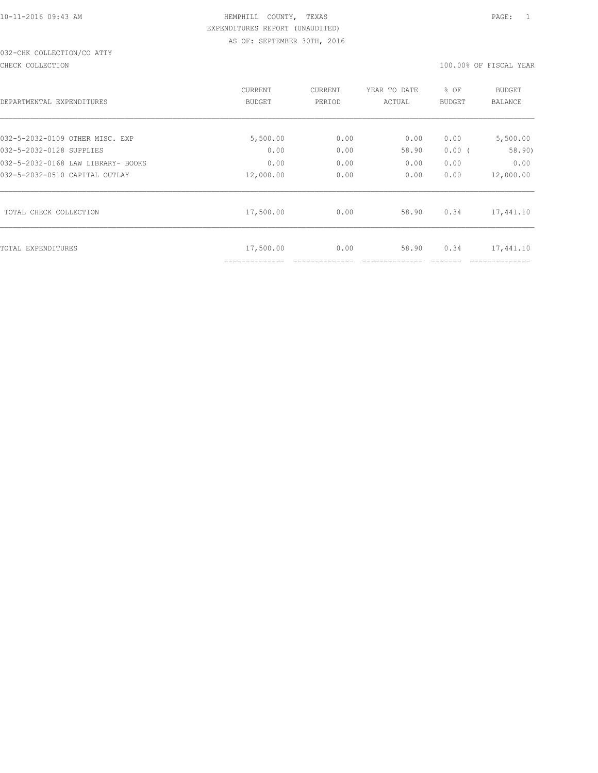# 032-CHK COLLECTION/CO ATTY

CHECK COLLECTION 100.00% OF FISCAL YEAR

| DEPARTMENTAL EXPENDITURES          | CURRENT<br><b>BUDGET</b> | CURRENT<br>PERIOD | YEAR TO DATE<br>ACTUAL | % OF<br><b>BUDGET</b> | <b>BUDGET</b><br><b>BALANCE</b> |
|------------------------------------|--------------------------|-------------------|------------------------|-----------------------|---------------------------------|
| 032-5-2032-0109 OTHER MISC. EXP    | 5,500.00                 | 0.00              | 0.00                   | 0.00                  | 5,500.00                        |
| 032-5-2032-0128 SUPPLIES           | 0.00                     | 0.00              | 58.90                  | $0.00$ (              | 58.90)                          |
| 032-5-2032-0168 LAW LIBRARY- BOOKS | 0.00                     | 0.00              | 0.00                   | 0.00                  | 0.00                            |
| 032-5-2032-0510 CAPITAL OUTLAY     | 12,000.00                | 0.00              | 0.00                   | 0.00                  | 12,000.00                       |
| TOTAL CHECK COLLECTION             | 17,500.00                | 0.00              | 58.90                  | 0.34                  | 17,441.10                       |
| TOTAL EXPENDITURES                 | 17,500.00                | 0.00              | 58.90                  | 0.34                  | 17,441.10                       |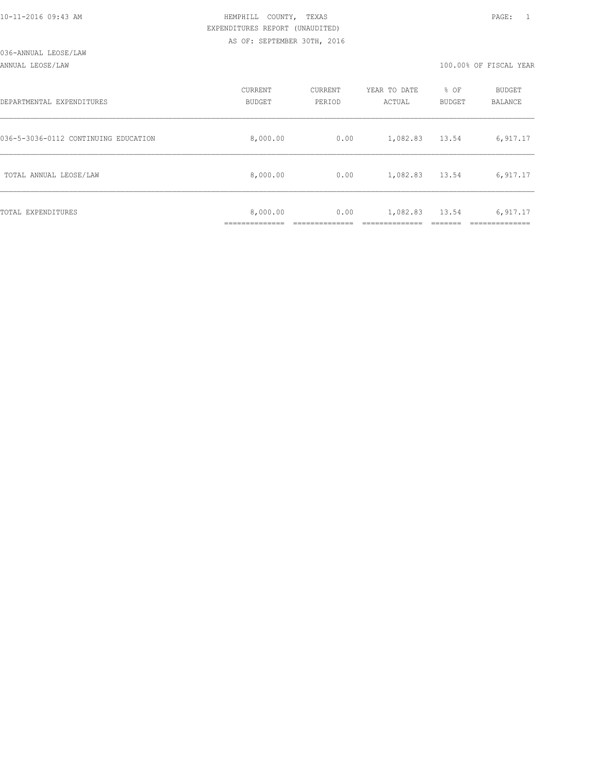ANNUAL LEOSE/LAW 100.00% OF FISCAL YEAR

| DEPARTMENTAL EXPENDITURES            | CURRENT<br>BUDGET | CURRENT<br>PERIOD | YEAR TO DATE<br>ACTUAL | % OF<br>BUDGET | BUDGET<br>BALANCE |
|--------------------------------------|-------------------|-------------------|------------------------|----------------|-------------------|
| 036-5-3036-0112 CONTINUING EDUCATION | 8,000.00          | 0.00              | 1,082.83               | 13.54          | 6,917.17          |
| TOTAL ANNUAL LEOSE/LAW               | 8,000.00          | 0.00              | 1,082.83               | 13.54          | 6,917.17          |
| TOTAL EXPENDITURES                   | 8,000.00          | 0.00              | 1,082.83               | 13.54          | 6,917.17          |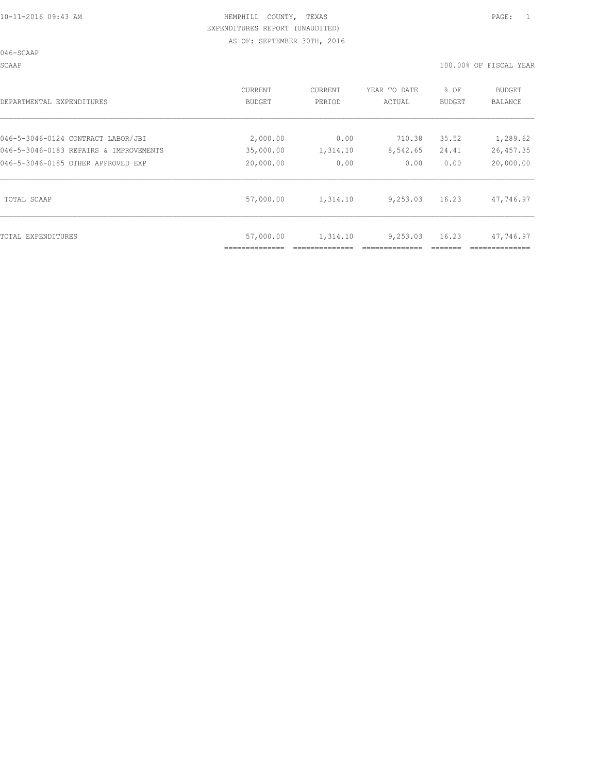046-SCAAP

SCAAP 100.00% OF FISCAL YEAR

| DEPARTMENTAL EXPENDITURES              | CURRENT<br>BUDGET | CURRENT<br>PERIOD | YEAR TO DATE<br>ACTUAL | % OF<br>BUDGET | BUDGET<br>BALANCE |
|----------------------------------------|-------------------|-------------------|------------------------|----------------|-------------------|
| 046-5-3046-0124 CONTRACT LABOR/JBI     | 2,000.00          | 0.00              | 710.38                 | 35.52          | 1,289.62          |
| 046-5-3046-0183 REPAIRS & IMPROVEMENTS | 35,000.00         | 1,314.10          | 8,542.65               | 24.41          | 26,457.35         |
| 046-5-3046-0185 OTHER APPROVED EXP     | 20,000.00         | 0.00              | 0.00                   | 0.00           | 20,000.00         |
| TOTAL SCAAP                            | 57,000.00         | 1,314.10          | 9,253.03               | 16.23          | 47,746.97         |
| TOTAL EXPENDITURES                     | 57,000.00         | 1,314.10          | 9,253.03               | 16.23          | 47,746.97         |